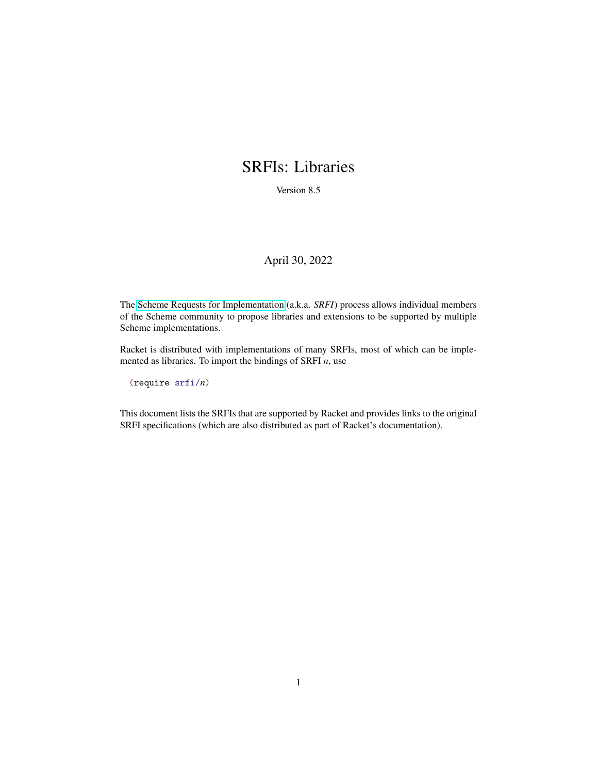## <span id="page-0-0"></span>SRFIs: Libraries

Version 8.5

#### April 30, 2022

The [Scheme Requests for Implementation](https://srfi.schemers.org/) (a.k.a. *SRFI*) process allows individual members of the Scheme community to propose libraries and extensions to be supported by multiple Scheme implementations.

Racket is distributed with implementations of many SRFIs, most of which can be implemented as libraries. To import the bindings of SRFI *n*, use

(require srfi/*n*)

This document lists the SRFIs that are supported by Racket and provides links to the original SRFI specifications (which are also distributed as part of Racket's documentation).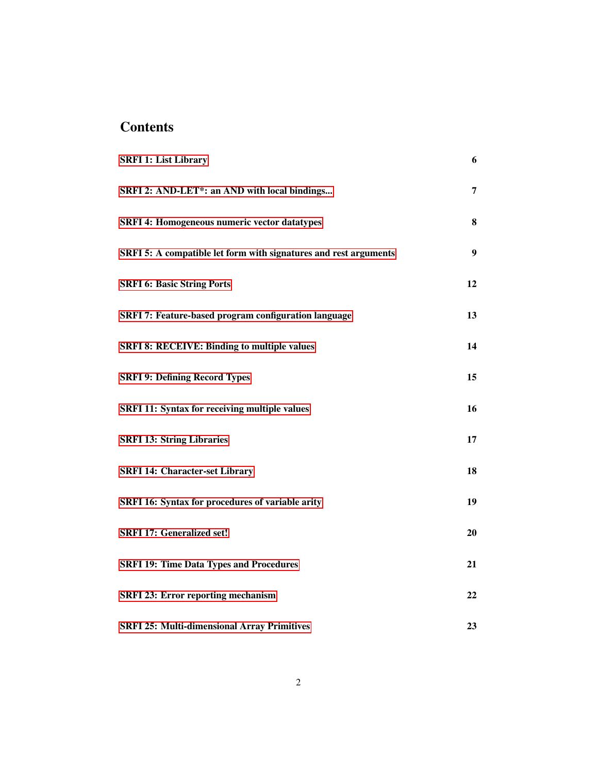## **Contents**

| <b>SRFI 1: List Library</b>                                      | 6  |
|------------------------------------------------------------------|----|
| SRFI 2: AND-LET*: an AND with local bindings                     | 7  |
| <b>SRFI 4: Homogeneous numeric vector datatypes</b>              | 8  |
| SRFI 5: A compatible let form with signatures and rest arguments | 9  |
| <b>SRFI 6: Basic String Ports</b>                                | 12 |
| <b>SRFI 7: Feature-based program configuration language</b>      | 13 |
| <b>SRFI 8: RECEIVE: Binding to multiple values</b>               | 14 |
| <b>SRFI 9: Defining Record Types</b>                             | 15 |
| <b>SRFI 11: Syntax for receiving multiple values</b>             | 16 |
| <b>SRFI 13: String Libraries</b>                                 | 17 |
| <b>SRFI 14: Character-set Library</b>                            | 18 |
| SRFI 16: Syntax for procedures of variable arity                 | 19 |
| <b>SRFI 17: Generalized set!</b>                                 | 20 |
| <b>SRFI 19: Time Data Types and Procedures</b>                   | 21 |
| <b>SRFI 23: Error reporting mechanism</b>                        | 22 |
| <b>SRFI 25: Multi-dimensional Array Primitives</b>               | 23 |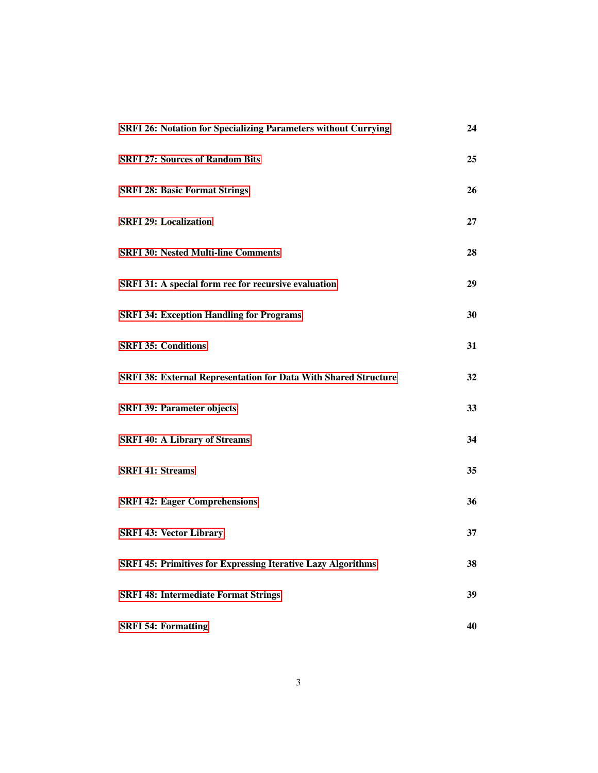| <b>SRFI 26: Notation for Specializing Parameters without Currying</b>  | 24 |
|------------------------------------------------------------------------|----|
| <b>SRFI 27: Sources of Random Bits</b>                                 | 25 |
| <b>SRFI 28: Basic Format Strings</b>                                   | 26 |
| <b>SRFI 29: Localization</b>                                           | 27 |
| <b>SRFI 30: Nested Multi-line Comments</b>                             | 28 |
| SRFI 31: A special form rec for recursive evaluation                   | 29 |
| <b>SRFI 34: Exception Handling for Programs</b>                        | 30 |
| <b>SRFI 35: Conditions</b>                                             | 31 |
| <b>SRFI 38: External Representation for Data With Shared Structure</b> | 32 |
| <b>SRFI 39: Parameter objects</b>                                      | 33 |
| <b>SRFI 40: A Library of Streams</b>                                   | 34 |
| <b>SRFI 41: Streams</b>                                                | 35 |
| <b>SRFI 42: Eager Comprehensions</b>                                   | 36 |
| <b>SRFI 43: Vector Library</b>                                         | 37 |
| <b>SRFI 45: Primitives for Expressing Iterative Lazy Algorithms</b>    | 38 |
| <b>SRFI 48: Intermediate Format Strings</b>                            | 39 |
| <b>SRFI 54: Formatting</b>                                             | 40 |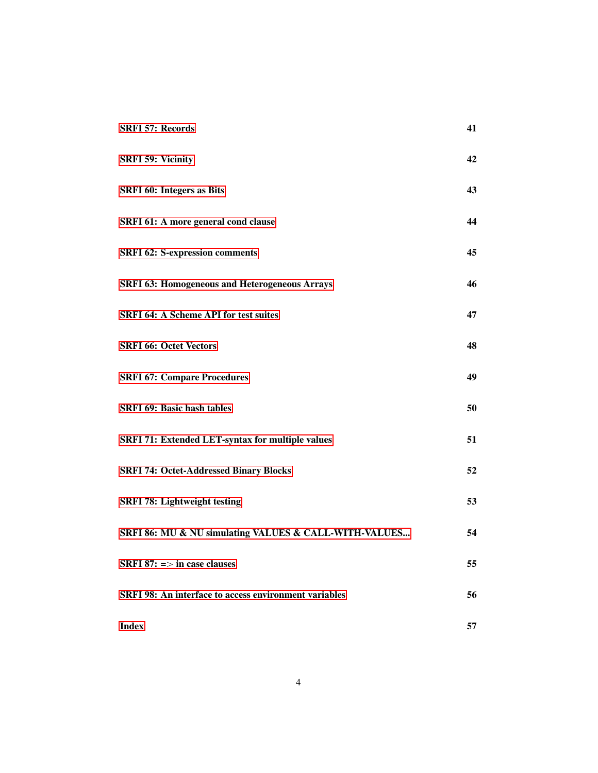| <b>SRFI 57: Records</b>                                      | 41 |
|--------------------------------------------------------------|----|
| <b>SRFI 59: Vicinity</b>                                     | 42 |
| <b>SRFI 60: Integers as Bits</b>                             | 43 |
| SRFI 61: A more general cond clause                          | 44 |
| <b>SRFI 62: S-expression comments</b>                        | 45 |
| <b>SRFI 63: Homogeneous and Heterogeneous Arrays</b>         | 46 |
| <b>SRFI 64: A Scheme API for test suites</b>                 | 47 |
| <b>SRFI 66: Octet Vectors</b>                                | 48 |
| <b>SRFI 67: Compare Procedures</b>                           | 49 |
| <b>SRFI 69: Basic hash tables</b>                            | 50 |
| SRFI 71: Extended LET-syntax for multiple values             | 51 |
| <b>SRFI 74: Octet-Addressed Binary Blocks</b>                | 52 |
| <b>SRFI 78: Lightweight testing</b>                          | 53 |
| SRFI 86: MU & NU simulating VALUES & CALL-WITH-VALUES        | 54 |
| <b>SRFI</b> 87: $\Rightarrow$ in case clauses                | 55 |
| <b>SRFI 98: An interface to access environment variables</b> | 56 |
| <b>Index</b>                                                 | 57 |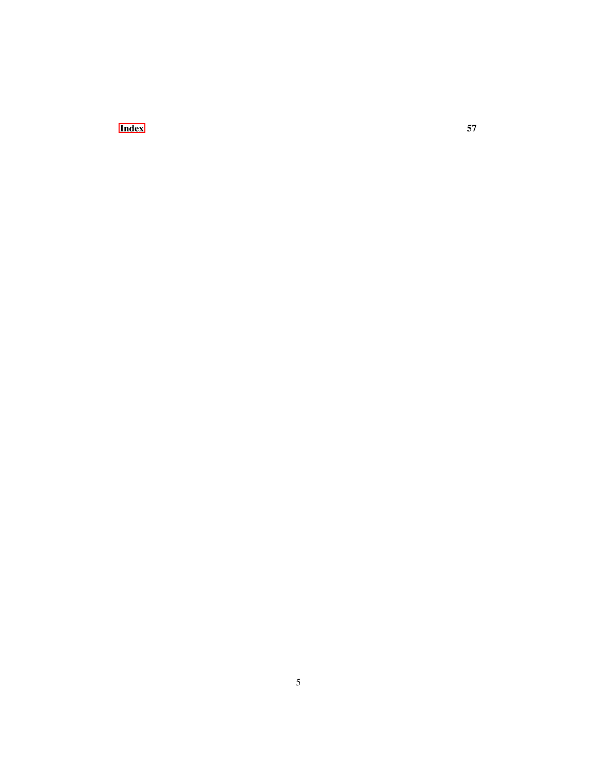**[Index](#page-56-0)** 57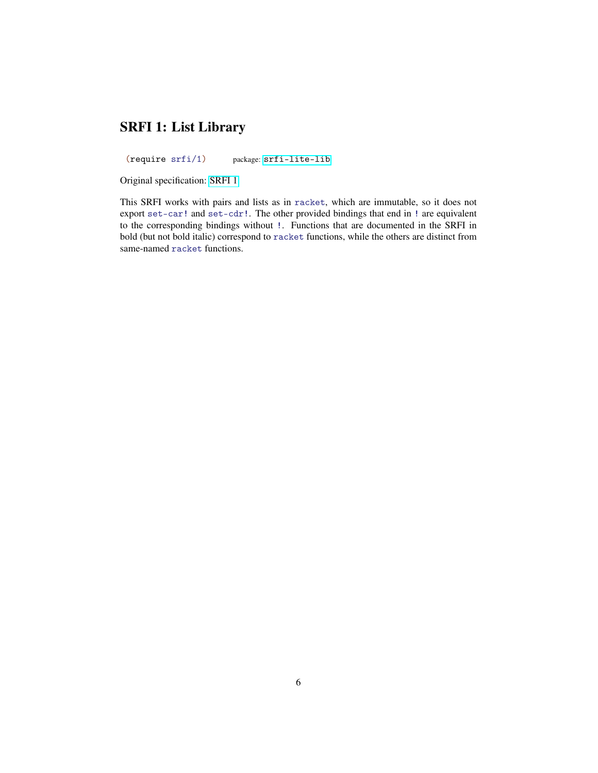#### SRFI 1: List Library

<span id="page-5-0"></span>(require srfi/1) package: [srfi-lite-lib](https://pkgs.racket-lang.org/package/srfi-lite-lib)

Original specification: [SRFI 1](https://docs.racket-lang.org/srfi-std/srfi-1.html)

This SRFI works with pairs and lists as in racket, which are immutable, so it does not export set-car! and set-cdr!. The other provided bindings that end in ! are equivalent to the corresponding bindings without !. Functions that are documented in the SRFI in bold (but not bold italic) correspond to racket functions, while the others are distinct from same-named racket functions.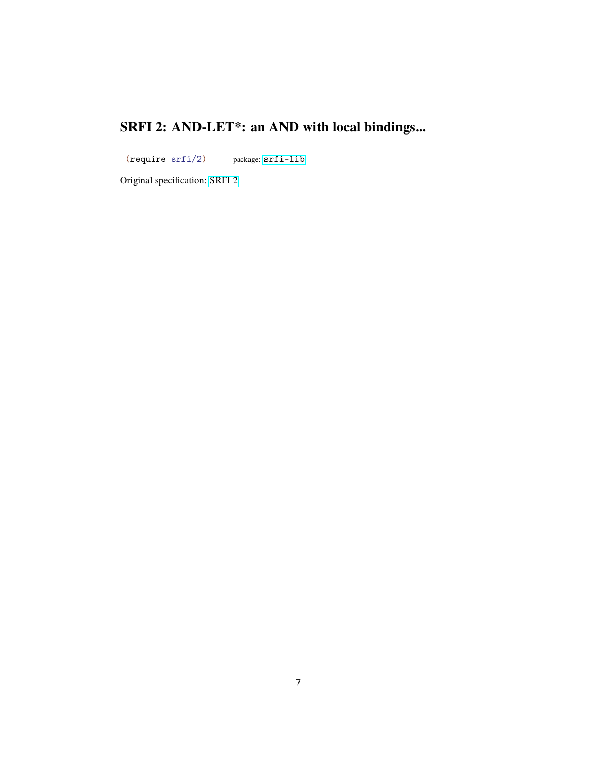# SRFI 2: AND-LET\*: an AND with local bindings...

<span id="page-6-0"></span>(require srfi/2) package: [srfi-lib](https://pkgs.racket-lang.org/package/srfi-lib)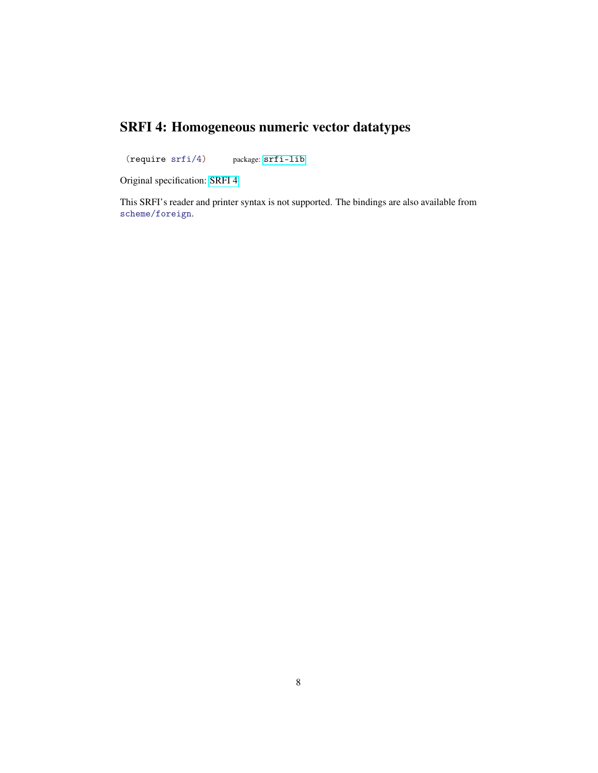## SRFI 4: Homogeneous numeric vector datatypes

<span id="page-7-0"></span>(require srfi/4) package: [srfi-lib](https://pkgs.racket-lang.org/package/srfi-lib)

Original specification: [SRFI 4](https://docs.racket-lang.org/srfi-std/srfi-4.html)

This SRFI's reader and printer syntax is not supported. The bindings are also available from scheme/foreign.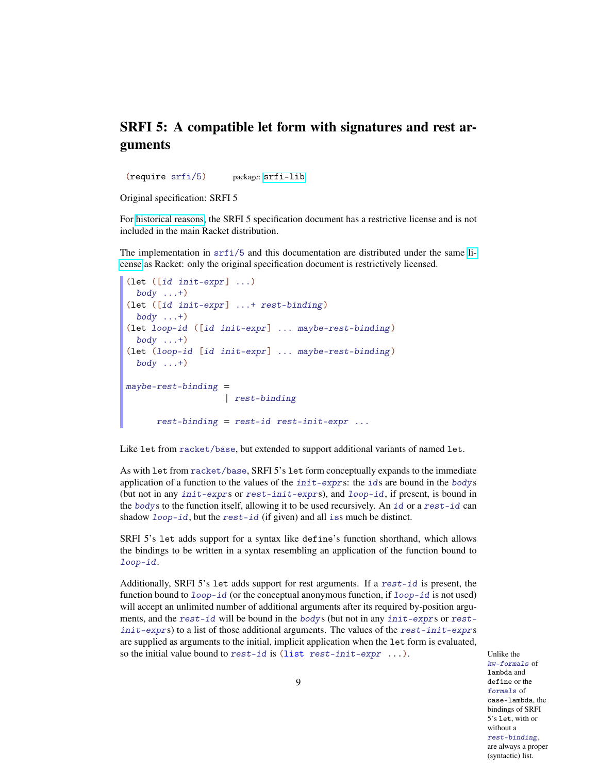#### SRFI 5: A compatible let form with signatures and rest arguments

<span id="page-8-0"></span>(require srfi/5) package: [srfi-lib](https://pkgs.racket-lang.org/package/srfi-lib)

Original specification: SRFI 5

For [historical reasons,](https://srfi-email.schemers.org/srfi-announce/msg/2652023/) the SRFI 5 specification document has a restrictive license and is not included in the main Racket distribution.

The implementation in  $\text{srf}i/5$  and this documentation are distributed under the same [li](https://docs.racket-lang.org/license/index.html)[cense](https://docs.racket-lang.org/license/index.html) as Racket: only the original specification document is restrictively licensed.

```
(let ([id init-expr] ...)
  body \dots+)
(let ([id init-expr] ...+ rest-binding)
  body \dots+)(let loop-id ([id init-expr] ... maybe-rest-binding )
  body \dots+)(let (loop-id [id init-expr] ... maybe-rest-binding )
  body \dots+)maybe-rest-binding =| rest-binding
      rest-binding = rest-id rest-init-expr...
```
Like let from racket/base, but extended to support additional variants of named let.

As with let from racket/base, SRFI 5's let form conceptually expands to the immediate application of a function to the values of the init-exprs: the ids are bound in the bodys (but not in any init-exprs or rest-init-exprs), and loop-id, if present, is bound in the bodys to the function itself, allowing it to be used recursively. An id or a rest-id can shadow loop-id, but the rest-id (if given) and all iss much be distinct.

SRFI 5's let adds support for a syntax like define's function shorthand, which allows the bindings to be written in a syntax resembling an application of the function bound to loop-id.

Additionally, SRFI 5's let adds support for rest arguments. If a rest-id is present, the function bound to  $loop-id$  (or the conceptual anonymous function, if  $loop-id$  is not used) will accept an unlimited number of additional arguments after its required by-position arguments, and the rest-id will be bound in the bodys (but not in any init-exprs or rest $init-express$  to a list of those additional arguments. The values of the rest-init-exprs are supplied as arguments to the initial, implicit application when the let form is evaluated, so the initial value bound to rest-id is (list rest-init-expr ...). Unlike the

kw-formals of lambda and define or the formals of case-lambda, the bindings of SRFI 5's let, with or without a rest-binding, are always a proper (syntactic) list.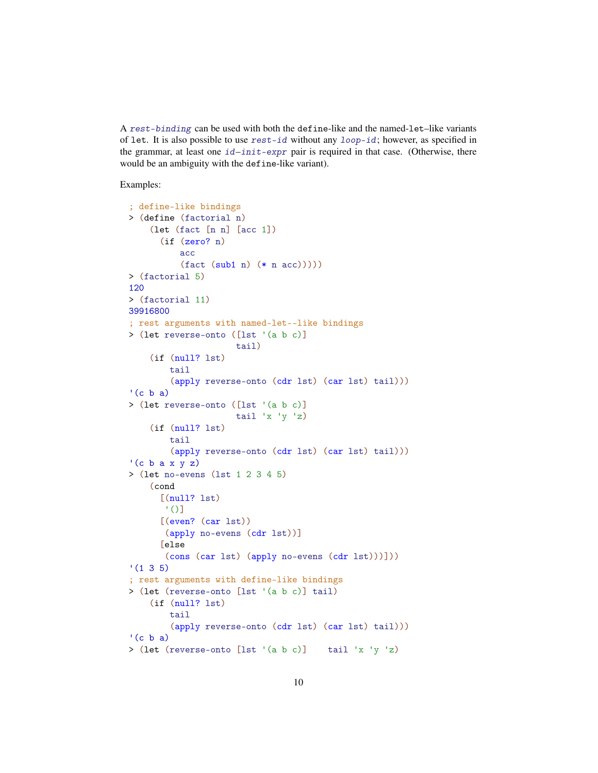A rest-binding can be used with both the define-like and the named-let–like variants of let. It is also possible to use  $rest-id$  without any  $loop-id$ ; however, as specified in the grammar, at least one  $id$ –init-expr pair is required in that case. (Otherwise, there would be an ambiguity with the define-like variant).

Examples:

```
; define-like bindings
> (define (factorial n)
    (let (fact [n n] [acc 1])
      (if (zero? n)
          acc
          (fact (sub1 n) (* n acc)))))
> (factorial 5)
120
> (factorial 11)
39916800
; rest arguments with named-let--like bindings
> (let reverse-onto ([lst '(a b c)]
                     tail)
    (if (null? lst)
        tail
        (apply reverse-onto (cdr lst) (car lst) tail)))
'(c b a)> (let reverse-onto ([lst '(a b c)]
                     tail 'x 'y 'z)(if (null? lst)
        tail
        (apply reverse-onto (cdr lst) (car lst) tail)))
'(c b a x y z)
> (let no-evens (lst 1 2 3 4 5)
    (cond
      [(null? 1st)]' ()]
      [(even? (car lst))
       (apply no-evens (cdr lst))]
      [else
       (cons (car lst) (apply no-evens (cdr lst)))]))
'(1 \ 3 \ 5); rest arguments with define-like bindings
> (let (reverse-onto [lst '(a b c)] tail)
    (if (null? lst)
        tail
        (apply reverse-onto (cdr lst) (car lst) tail)))
'(c b a)
> (let (reverse-onto [lst '(a b c)] tail 'x 'y 'z)
```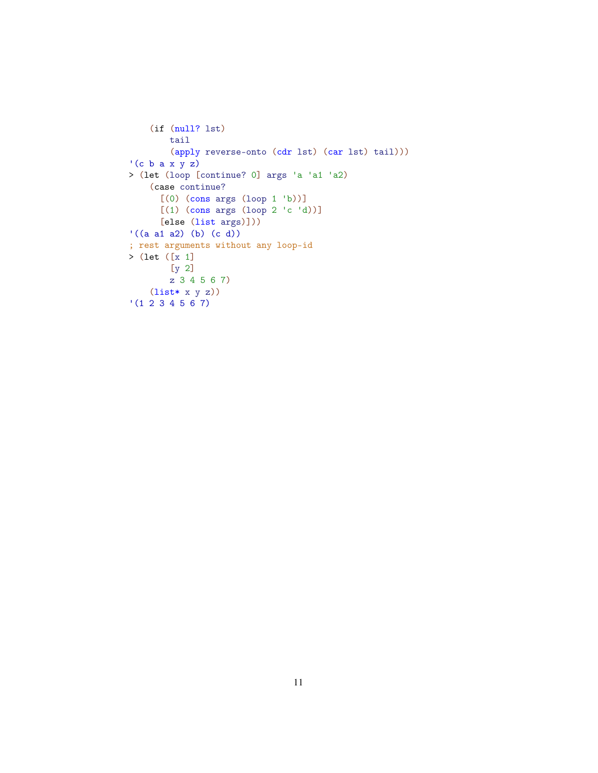```
(if (null? lst)
        tail
        (apply reverse-onto (cdr lst) (car lst) tail)))
'(c b a x y z)
> (let (loop [continue? 0] args 'a 'a1 'a2)
    (case continue?
      [(0) (cons args (loop 1 'b))]
      [(1) (cons args (logo p 2 'c 'd))][else (list args)]))
'((a a1 a2) (b) (c d))
; rest arguments without any loop-id
> (let ([x 1]
        [y 2]
        z 3 4 5 6 7)
    (list* x y z))
'(1 2 3 4 5 6 7)
```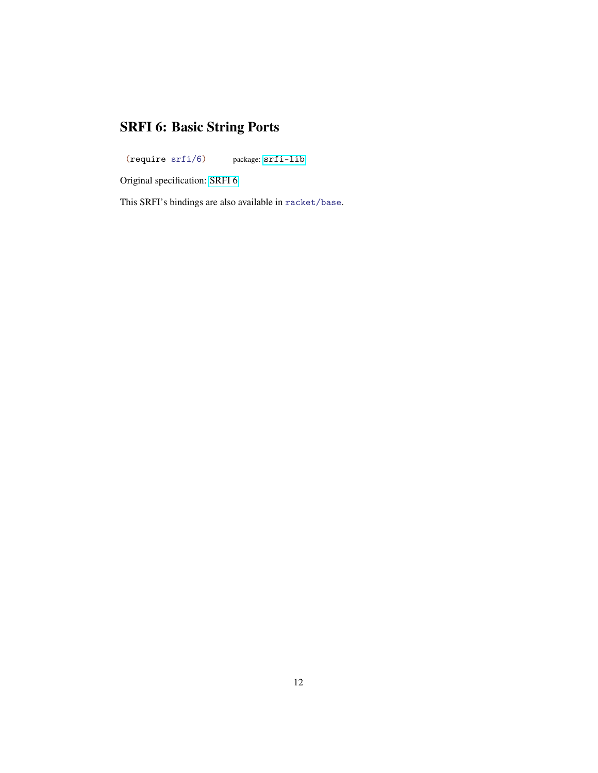## SRFI 6: Basic String Ports

<span id="page-11-0"></span>(require srfi/6) package: [srfi-lib](https://pkgs.racket-lang.org/package/srfi-lib)

Original specification: [SRFI 6](https://docs.racket-lang.org/srfi-std/srfi-6.html)

This SRFI's bindings are also available in racket/base.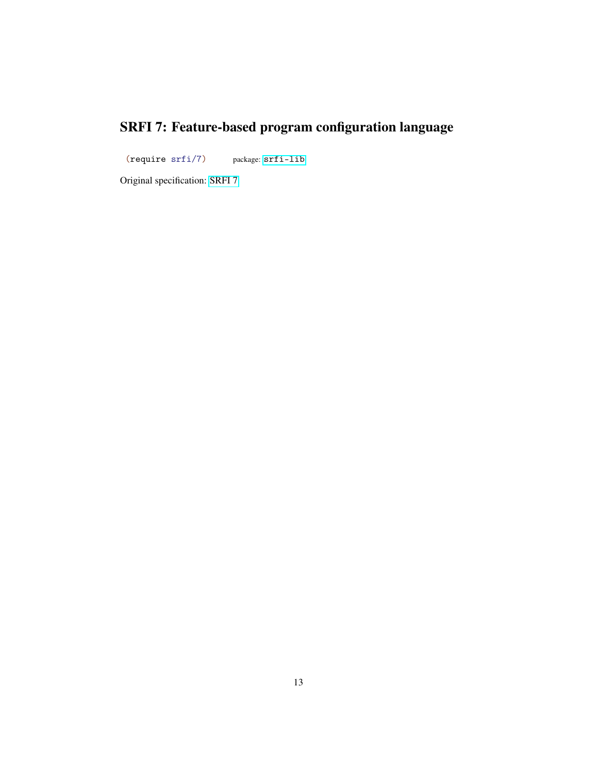# SRFI 7: Feature-based program configuration language

<span id="page-12-0"></span>(require srfi/7) package: [srfi-lib](https://pkgs.racket-lang.org/package/srfi-lib)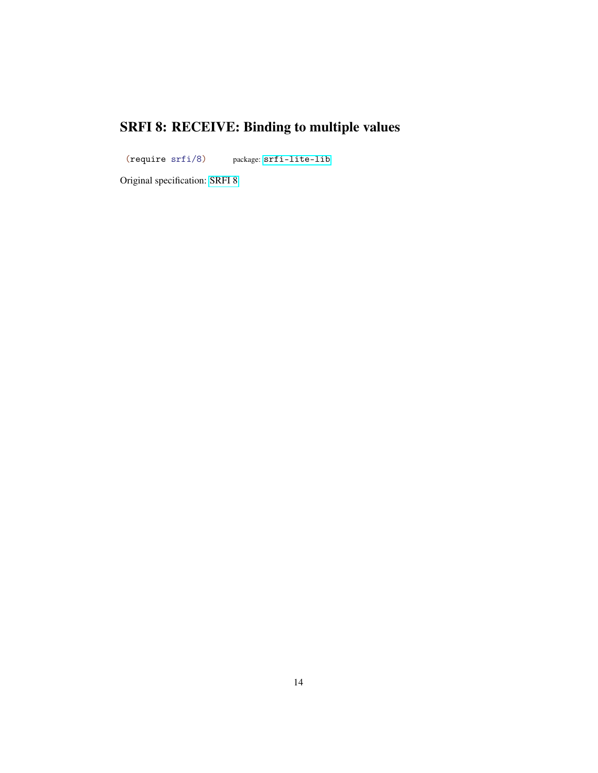# SRFI 8: RECEIVE: Binding to multiple values

<span id="page-13-0"></span>(require srfi/8) package: [srfi-lite-lib](https://pkgs.racket-lang.org/package/srfi-lite-lib)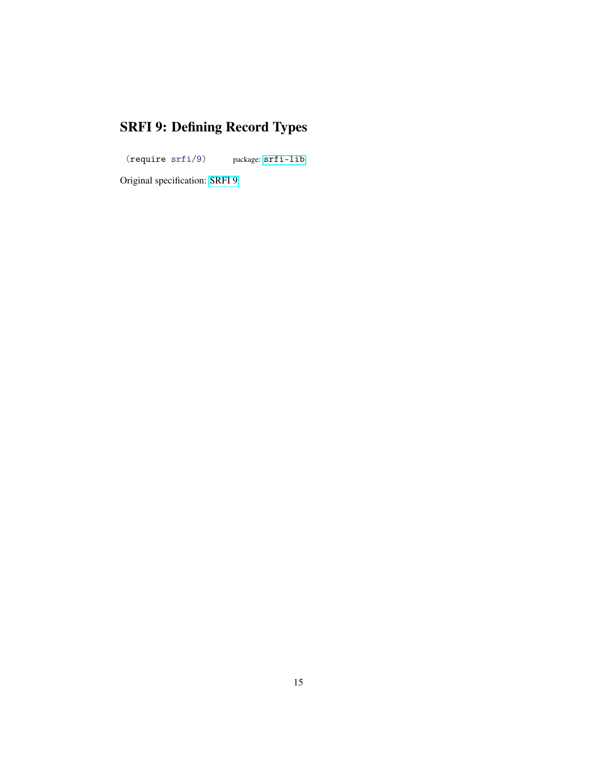# SRFI 9: Defining Record Types

<span id="page-14-0"></span>(require srfi/9) package: [srfi-lib](https://pkgs.racket-lang.org/package/srfi-lib)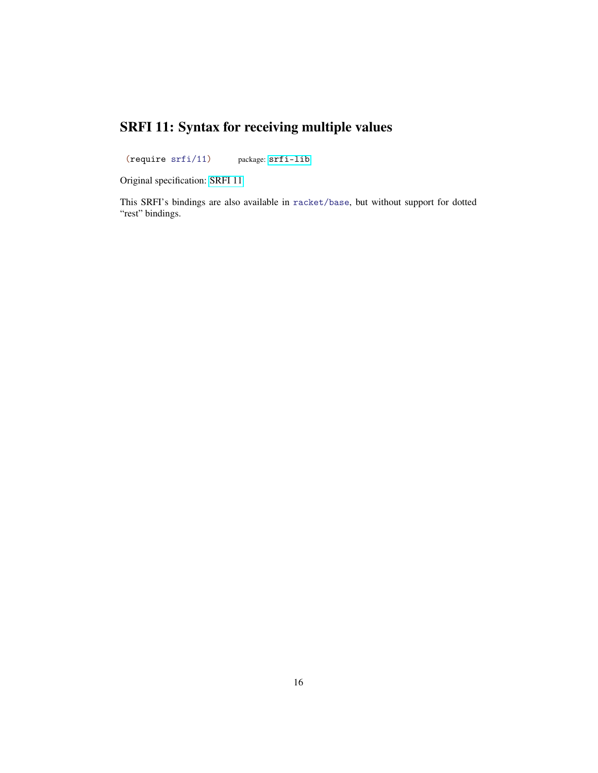## SRFI 11: Syntax for receiving multiple values

<span id="page-15-0"></span>(require srfi/11) package: [srfi-lib](https://pkgs.racket-lang.org/package/srfi-lib)

Original specification: [SRFI 11](https://docs.racket-lang.org/srfi-std/srfi-11.html)

This SRFI's bindings are also available in racket/base, but without support for dotted "rest" bindings.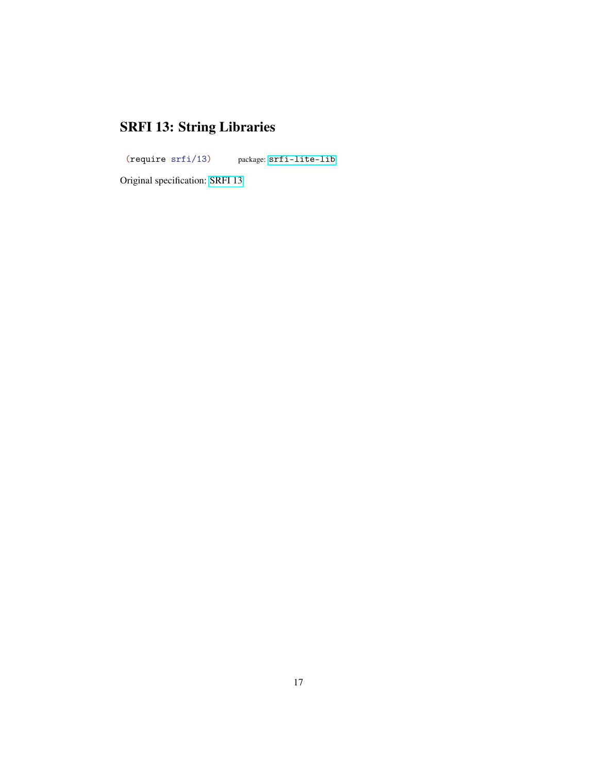# SRFI 13: String Libraries

<span id="page-16-0"></span>(require srfi/13) package: [srfi-lite-lib](https://pkgs.racket-lang.org/package/srfi-lite-lib)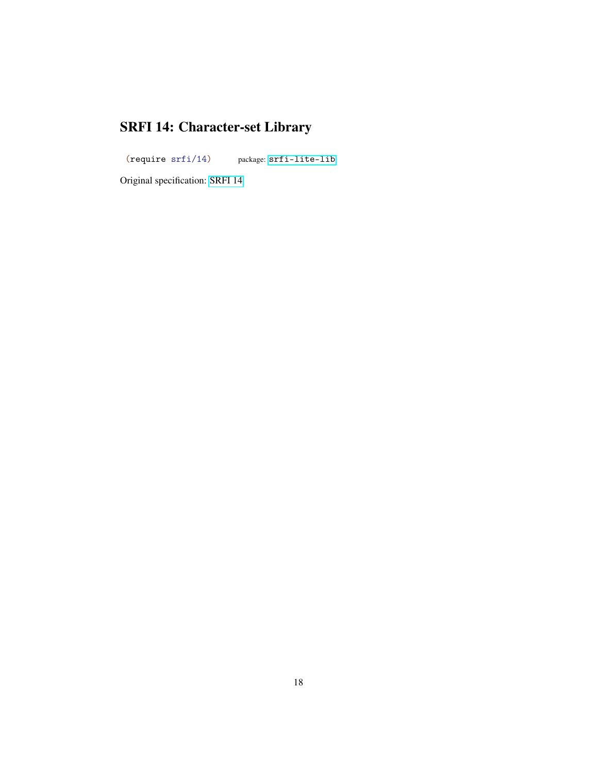# SRFI 14: Character-set Library

<span id="page-17-0"></span>(require srfi/14) package: [srfi-lite-lib](https://pkgs.racket-lang.org/package/srfi-lite-lib)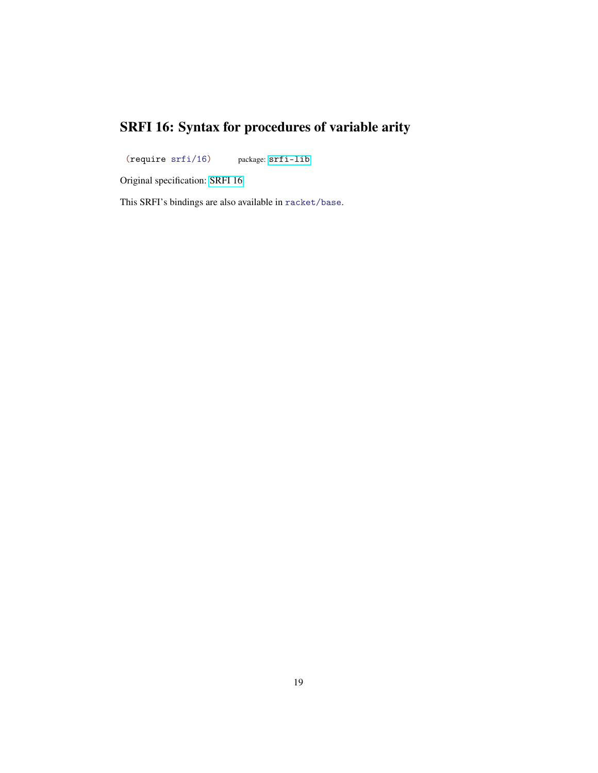## SRFI 16: Syntax for procedures of variable arity

<span id="page-18-0"></span>(require srfi/16) package: [srfi-lib](https://pkgs.racket-lang.org/package/srfi-lib)

Original specification: [SRFI 16](https://docs.racket-lang.org/srfi-std/srfi-16.html)

This SRFI's bindings are also available in racket/base.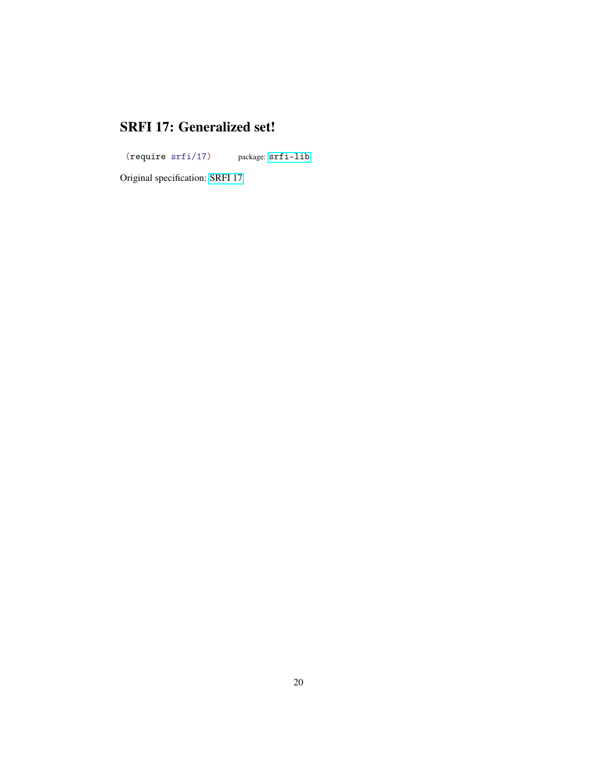#### SRFI 17: Generalized set!

<span id="page-19-0"></span>(require srfi/17) package: [srfi-lib](https://pkgs.racket-lang.org/package/srfi-lib)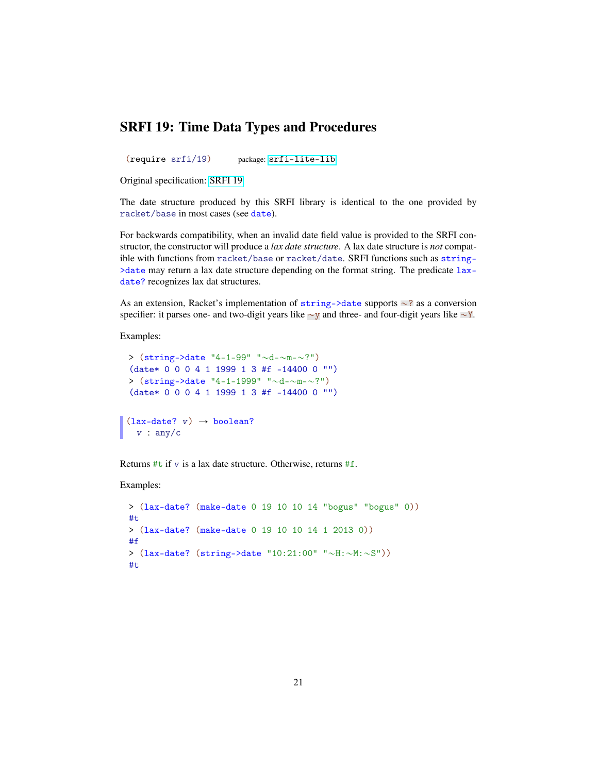#### SRFI 19: Time Data Types and Procedures

<span id="page-20-0"></span>(require srfi/19) package: [srfi-lite-lib](https://pkgs.racket-lang.org/package/srfi-lite-lib)

Original specification: [SRFI 19](https://docs.racket-lang.org/srfi-std/srfi-19.html)

The date structure produced by this SRFI library is identical to the one provided by racket/base in most cases (see date).

For backwards compatibility, when an invalid date field value is provided to the SRFI constructor, the constructor will produce a *lax date structure*. A lax date structure is *not* compatible with functions from racket/base or racket/date. SRFI functions such as string-  $\geq$ date may return a lax date structure depending on the format string. The predicate  $lax$ date? recognizes lax dat structures.

As an extension, Racket's implementation of  $string$ ->date supports  $\sim$ ? as a conversion specifier: it parses one- and two-digit years like  $\sim y$  and three- and four-digit years like  $\sim Y$ .

Examples:

```
> (\text{string-}date "4-1-99" "\simd-\simm-\sim?")
(date* 0 0 0 4 1 1999 1 3 #f -14400 0 "")
> (\text{string-}date "4-1-1999" "\sim d - \sim m - \sim ?")
(date* 0 0 0 4 1 1999 1 3 #f -14400 0 "")
```

```
(lax-date? v) \rightarrow boolean?v : any/c
```
Returns  $\#t$  if v is a lax date structure. Otherwise, returns  $\#f$ .

Examples:

```
> (lax-date? (make-date 0 19 10 10 14 "bogus" "bogus" 0))
#t
> (lax-date? (make-date 0 19 10 10 14 1 2013 0))
#f
> (lax-date? (string-Value "10:21:00" "~H:~M:~S"))#t
```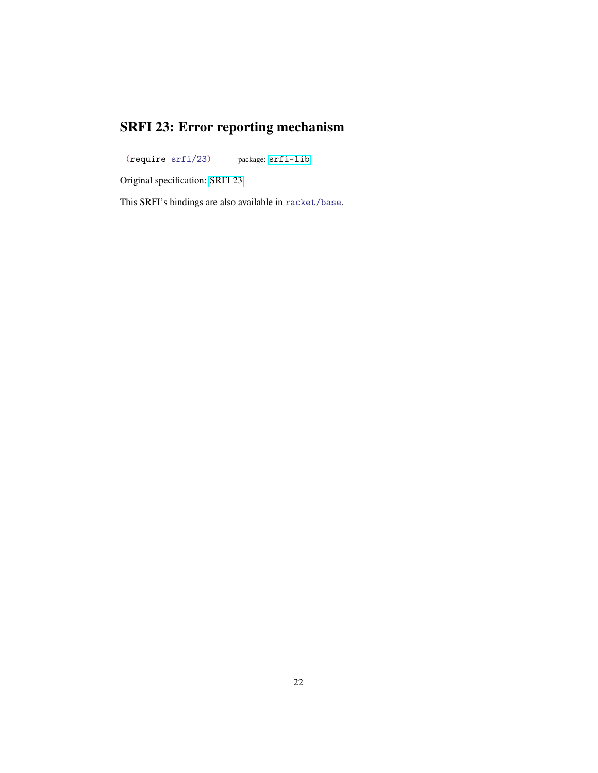## SRFI 23: Error reporting mechanism

<span id="page-21-0"></span>(require srfi/23) package: [srfi-lib](https://pkgs.racket-lang.org/package/srfi-lib)

Original specification: [SRFI 23](https://docs.racket-lang.org/srfi-std/srfi-23.html)

This SRFI's bindings are also available in racket/base.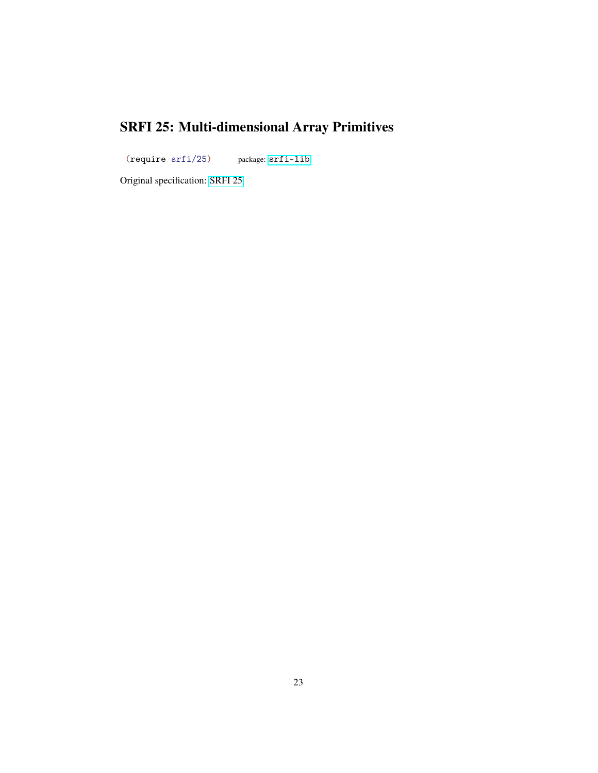# SRFI 25: Multi-dimensional Array Primitives

<span id="page-22-0"></span>(require srfi/25) package: [srfi-lib](https://pkgs.racket-lang.org/package/srfi-lib)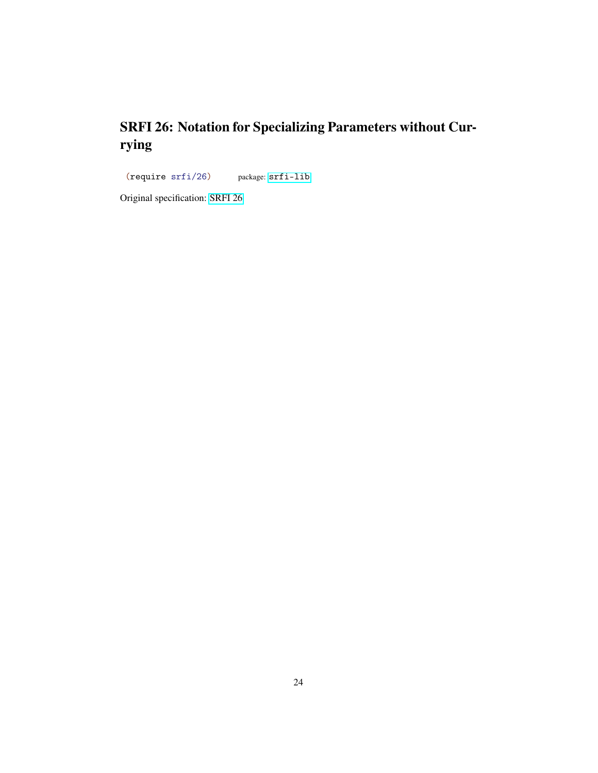## SRFI 26: Notation for Specializing Parameters without Currying

<span id="page-23-0"></span>(require srfi/26) package: [srfi-lib](https://pkgs.racket-lang.org/package/srfi-lib)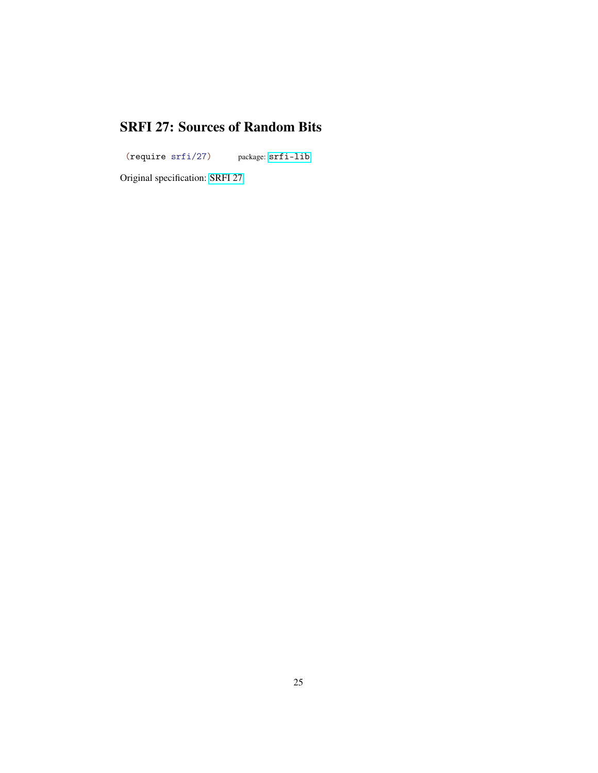#### SRFI 27: Sources of Random Bits

<span id="page-24-0"></span>(require srfi/27) package: [srfi-lib](https://pkgs.racket-lang.org/package/srfi-lib)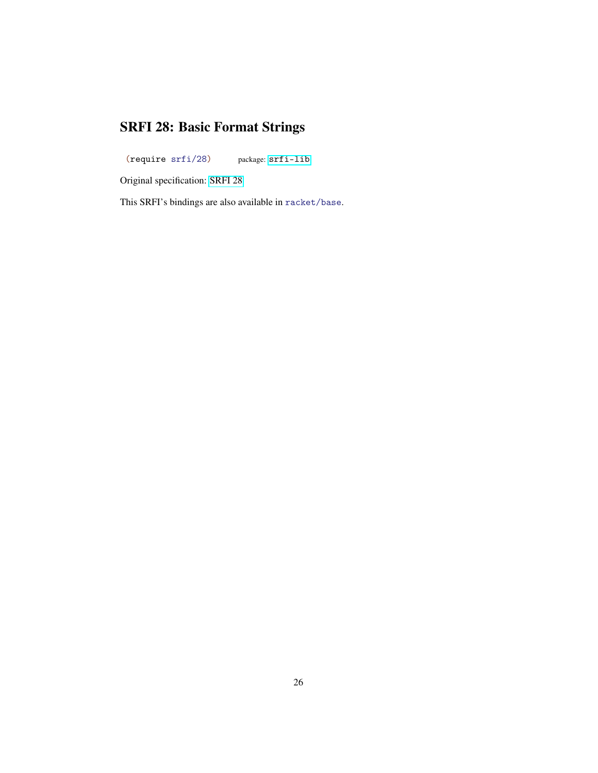# SRFI 28: Basic Format Strings

<span id="page-25-0"></span>(require srfi/28) package: [srfi-lib](https://pkgs.racket-lang.org/package/srfi-lib)

Original specification: [SRFI 28](https://docs.racket-lang.org/srfi-std/srfi-28.html)

This SRFI's bindings are also available in racket/base.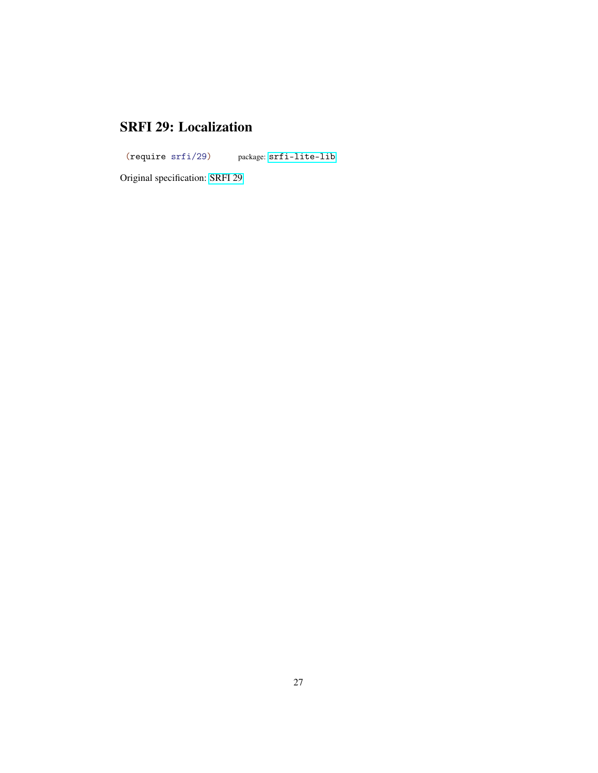#### SRFI 29: Localization

<span id="page-26-0"></span>(require srfi/29) package: [srfi-lite-lib](https://pkgs.racket-lang.org/package/srfi-lite-lib)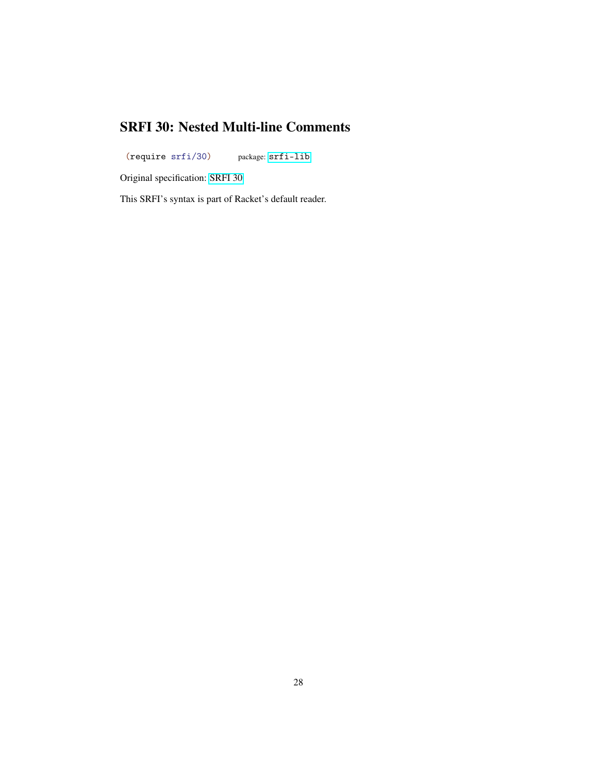#### SRFI 30: Nested Multi-line Comments

<span id="page-27-0"></span>(require srfi/30) package: [srfi-lib](https://pkgs.racket-lang.org/package/srfi-lib)

Original specification: [SRFI 30](https://docs.racket-lang.org/srfi-std/srfi-30.html)

This SRFI's syntax is part of Racket's default reader.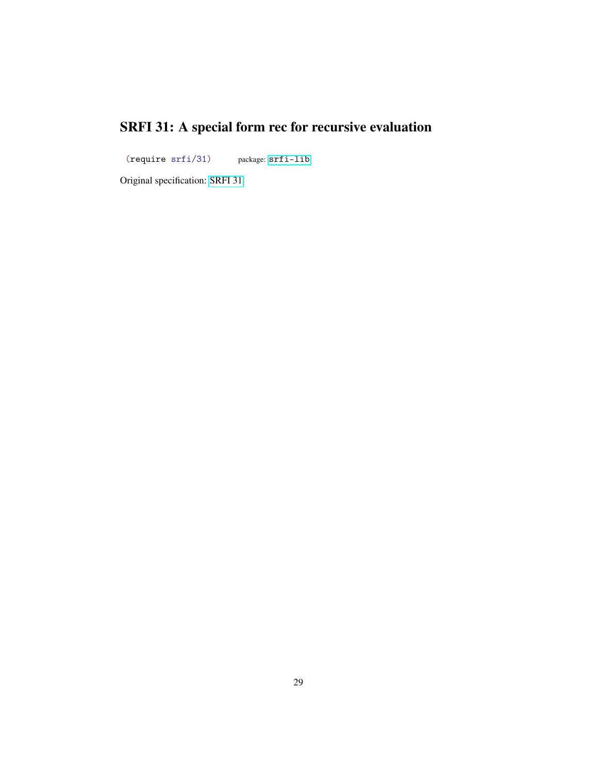# SRFI 31: A special form rec for recursive evaluation

<span id="page-28-0"></span>(require srfi/31) package: [srfi-lib](https://pkgs.racket-lang.org/package/srfi-lib)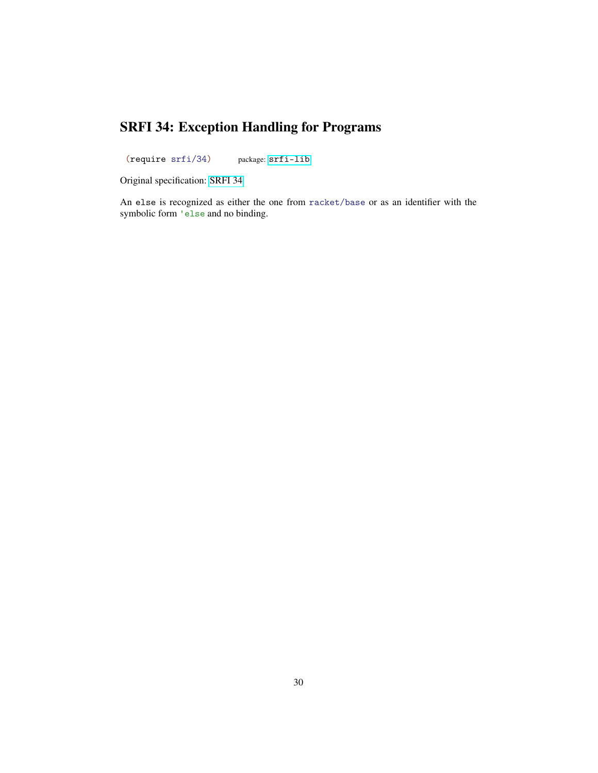## SRFI 34: Exception Handling for Programs

<span id="page-29-0"></span>(require srfi/34) package: [srfi-lib](https://pkgs.racket-lang.org/package/srfi-lib)

Original specification: [SRFI 34](https://docs.racket-lang.org/srfi-std/srfi-34.html)

An else is recognized as either the one from racket/base or as an identifier with the symbolic form 'else and no binding.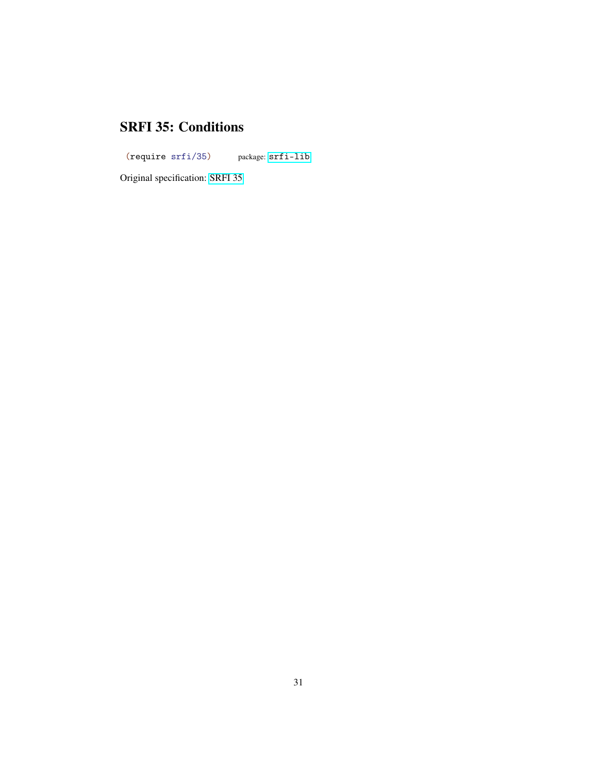#### SRFI 35: Conditions

<span id="page-30-0"></span>(require srfi/35) package: [srfi-lib](https://pkgs.racket-lang.org/package/srfi-lib)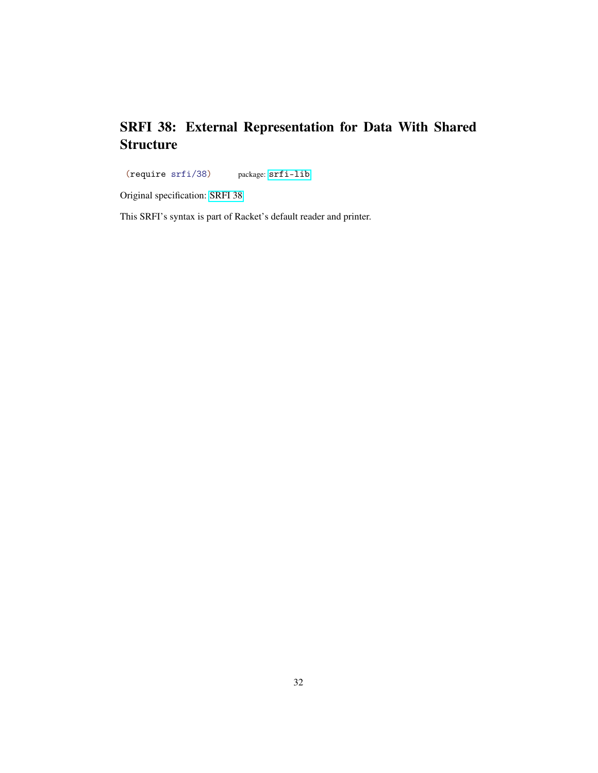#### SRFI 38: External Representation for Data With Shared **Structure**

<span id="page-31-0"></span>(require srfi/38) package: [srfi-lib](https://pkgs.racket-lang.org/package/srfi-lib)

Original specification: [SRFI 38](https://docs.racket-lang.org/srfi-std/srfi-38.html)

This SRFI's syntax is part of Racket's default reader and printer.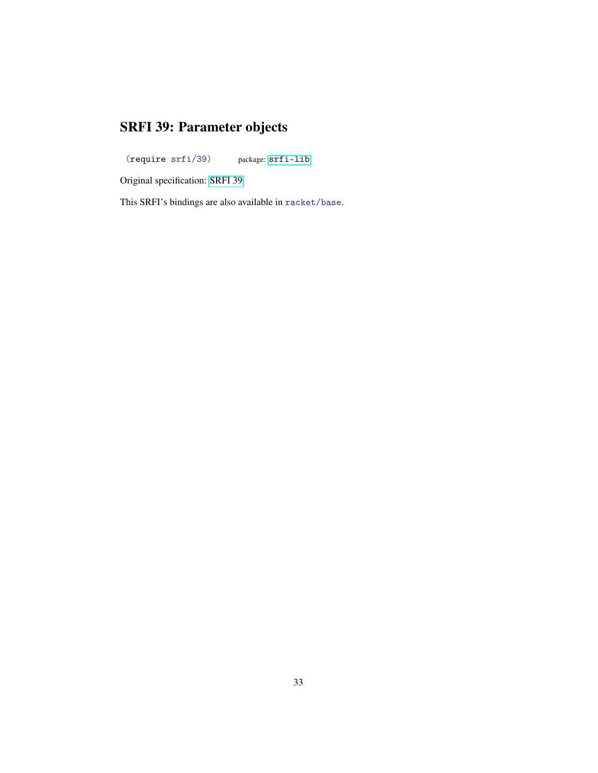# SRFI 39: Parameter objects

<span id="page-32-0"></span>(require srfi/39) package: [srfi-lib](https://pkgs.racket-lang.org/package/srfi-lib)

Original specification: [SRFI 39](https://docs.racket-lang.org/srfi-std/srfi-39.html)

This SRFI's bindings are also available in racket/base.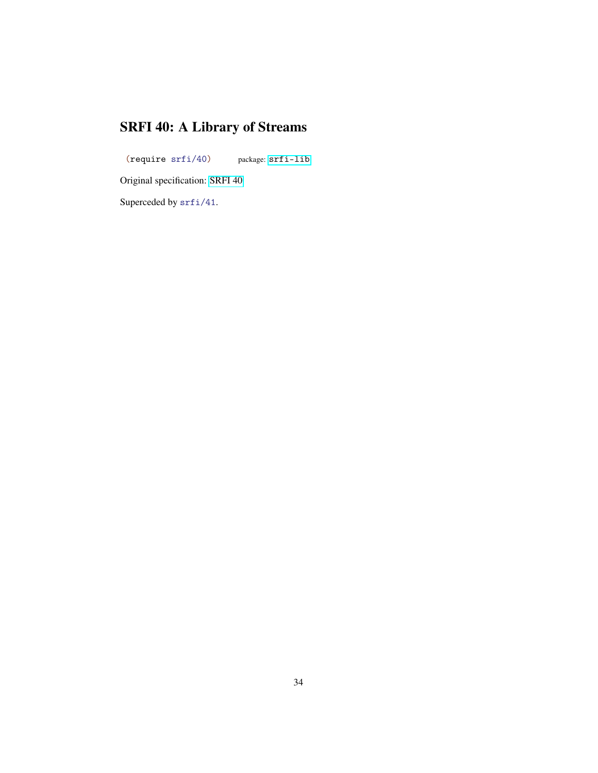# SRFI 40: A Library of Streams

<span id="page-33-0"></span>(require srfi/40) package: [srfi-lib](https://pkgs.racket-lang.org/package/srfi-lib)

Original specification: [SRFI 40](https://docs.racket-lang.org/srfi-std/srfi-40.html)

Superceded by srfi/41.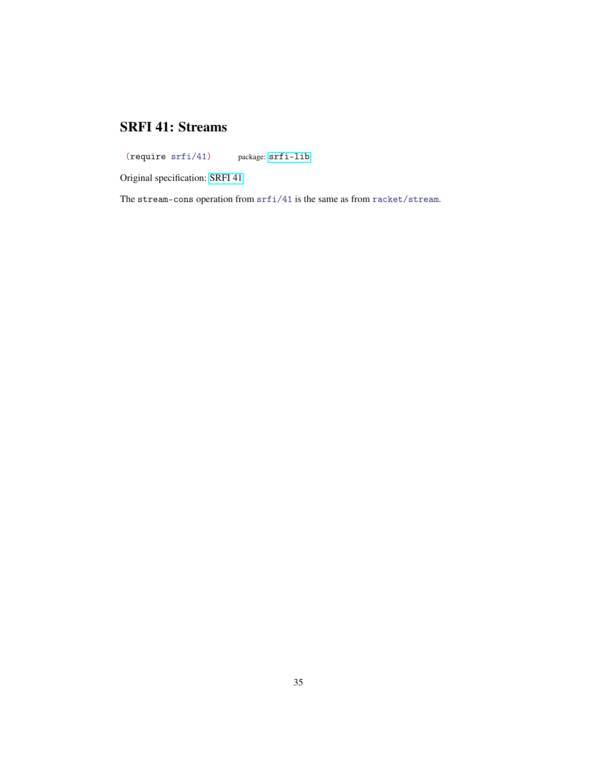#### SRFI 41: Streams

<span id="page-34-0"></span>(require srfi/41) package: [srfi-lib](https://pkgs.racket-lang.org/package/srfi-lib)

Original specification: [SRFI 41](https://docs.racket-lang.org/srfi-std/srfi-41/srfi-41.html)

The stream-cons operation from srfi/41 is the same as from racket/stream.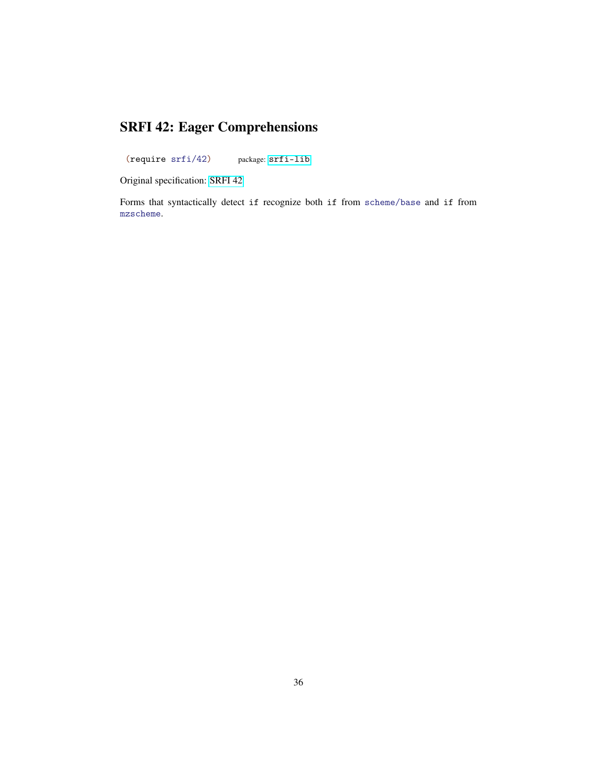## SRFI 42: Eager Comprehensions

<span id="page-35-0"></span>(require srfi/42) package: [srfi-lib](https://pkgs.racket-lang.org/package/srfi-lib)

Original specification: [SRFI 42](https://docs.racket-lang.org/srfi-std/srfi-42.html)

Forms that syntactically detect if recognize both if from scheme/base and if from mzscheme.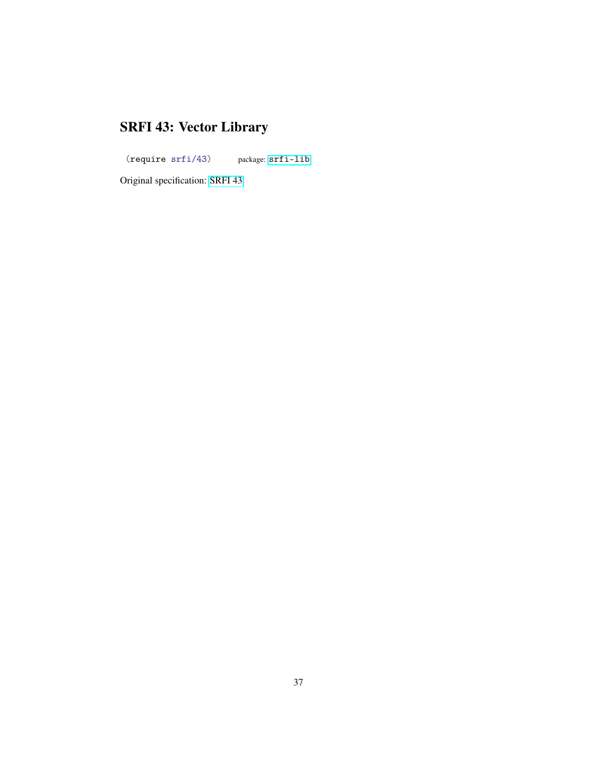# SRFI 43: Vector Library

<span id="page-36-0"></span>(require srfi/43) package: [srfi-lib](https://pkgs.racket-lang.org/package/srfi-lib)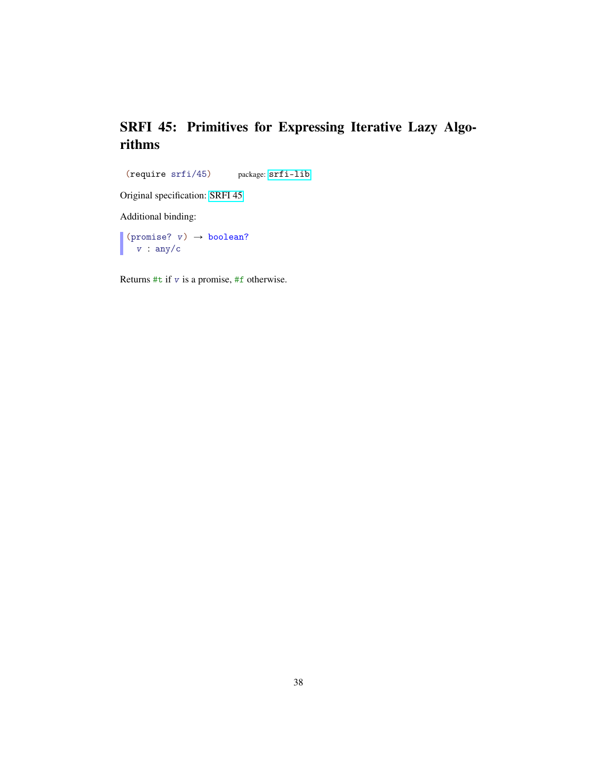#### SRFI 45: Primitives for Expressing Iterative Lazy Algorithms

<span id="page-37-0"></span>(require srfi/45) package: [srfi-lib](https://pkgs.racket-lang.org/package/srfi-lib)

Original specification: [SRFI 45](https://docs.racket-lang.org/srfi-std/srfi-45.html)

Additional binding:

(promise?  $v) \rightarrow boolean?$ v : any/c

Returns  $\#t$  if v is a promise,  $\#f$  otherwise.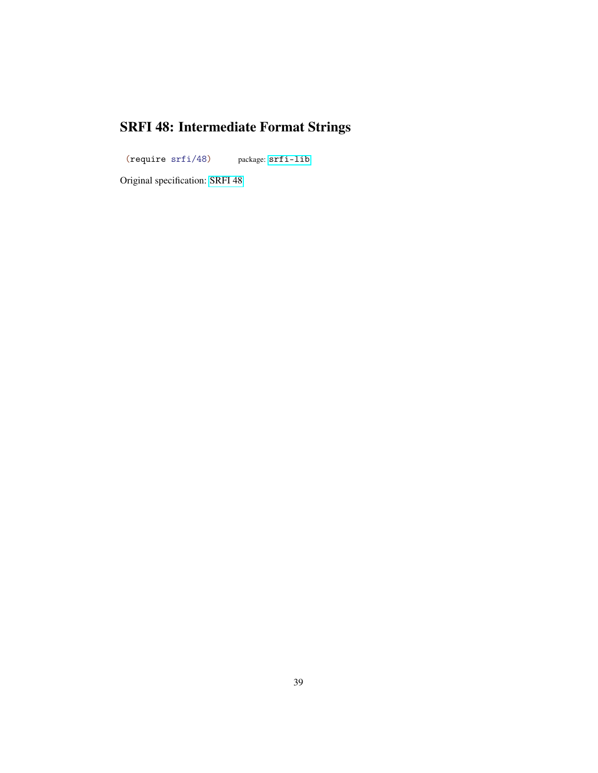# SRFI 48: Intermediate Format Strings

<span id="page-38-0"></span>(require srfi/48) package: [srfi-lib](https://pkgs.racket-lang.org/package/srfi-lib)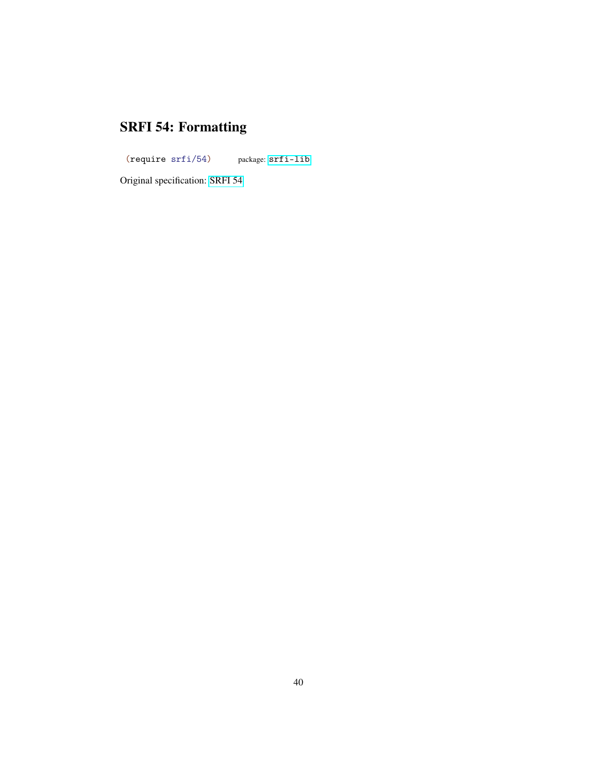# SRFI 54: Formatting

<span id="page-39-0"></span>(require srfi/54) package: [srfi-lib](https://pkgs.racket-lang.org/package/srfi-lib)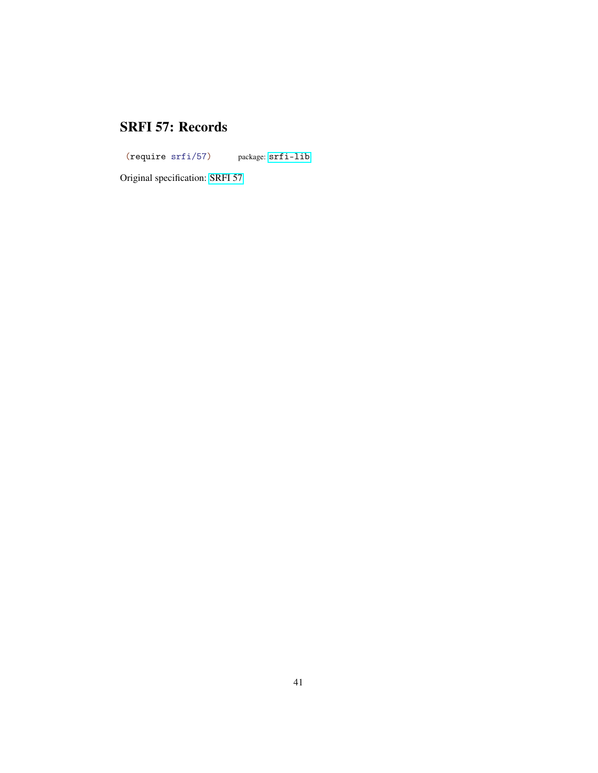#### SRFI 57: Records

<span id="page-40-0"></span>(require srfi/57) package: [srfi-lib](https://pkgs.racket-lang.org/package/srfi-lib)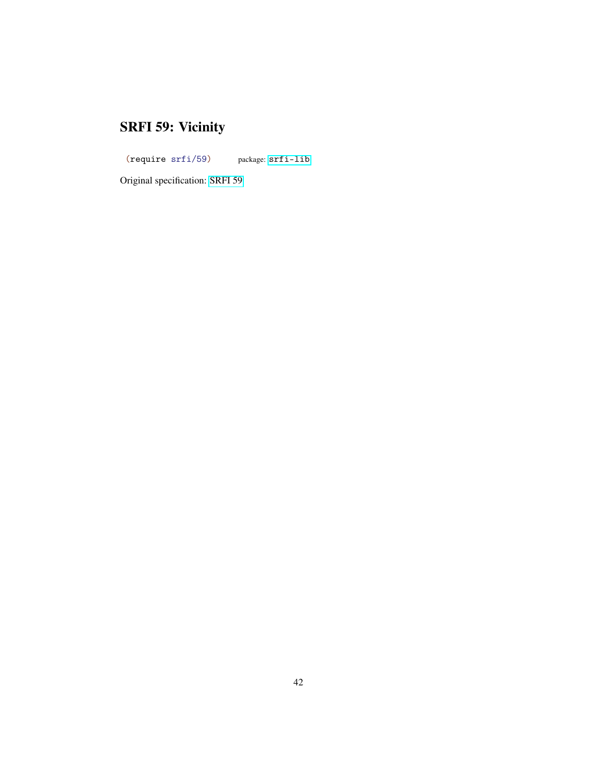# SRFI 59: Vicinity

<span id="page-41-0"></span>(require srfi/59) package: [srfi-lib](https://pkgs.racket-lang.org/package/srfi-lib)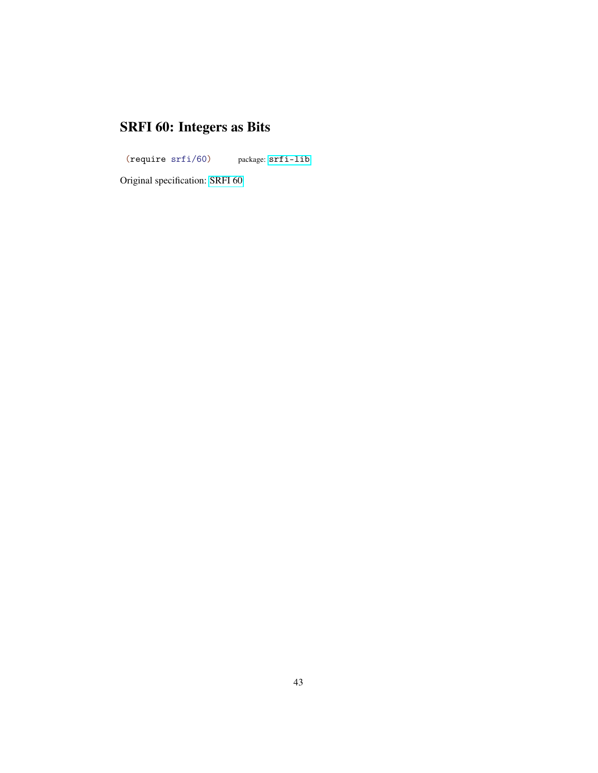# SRFI 60: Integers as Bits

<span id="page-42-0"></span>(require srfi/60) package: [srfi-lib](https://pkgs.racket-lang.org/package/srfi-lib)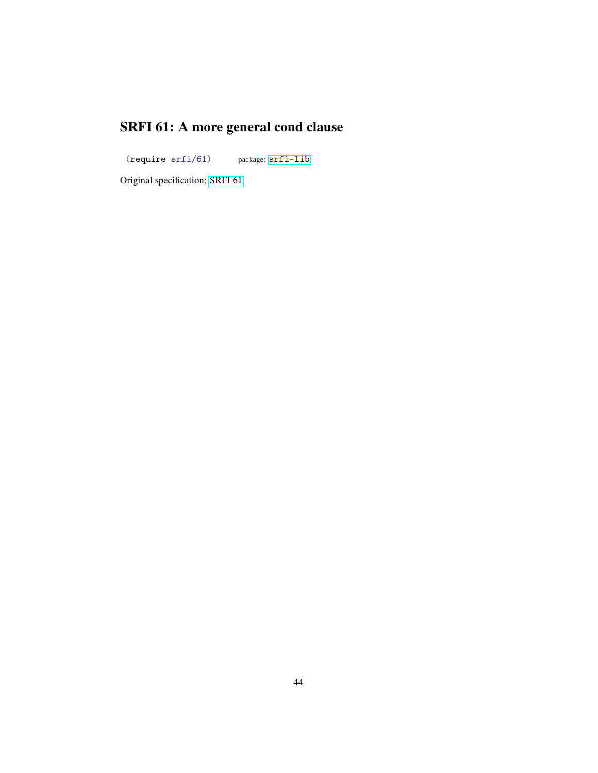# SRFI 61: A more general cond clause

<span id="page-43-0"></span>(require srfi/61) package: [srfi-lib](https://pkgs.racket-lang.org/package/srfi-lib)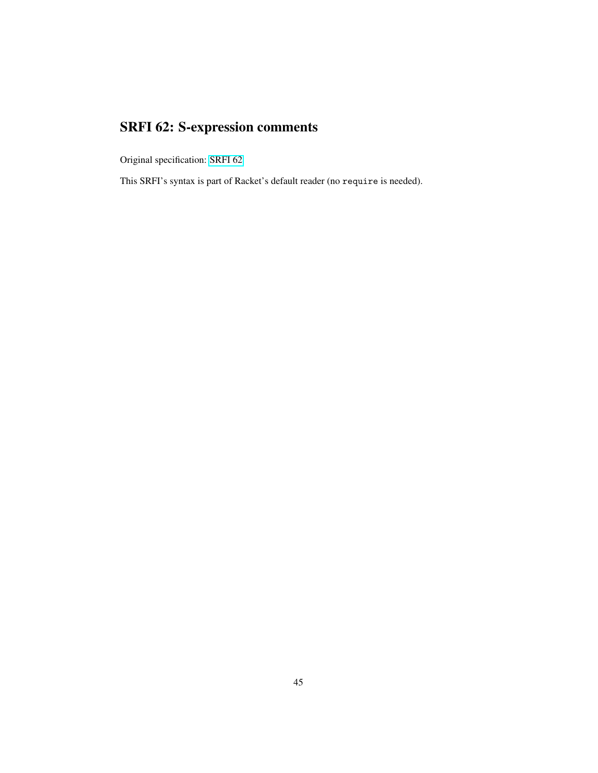# SRFI 62: S-expression comments

<span id="page-44-0"></span>Original specification: [SRFI 62](srfi-std/srfi-62.html)

This SRFI's syntax is part of Racket's default reader (no require is needed).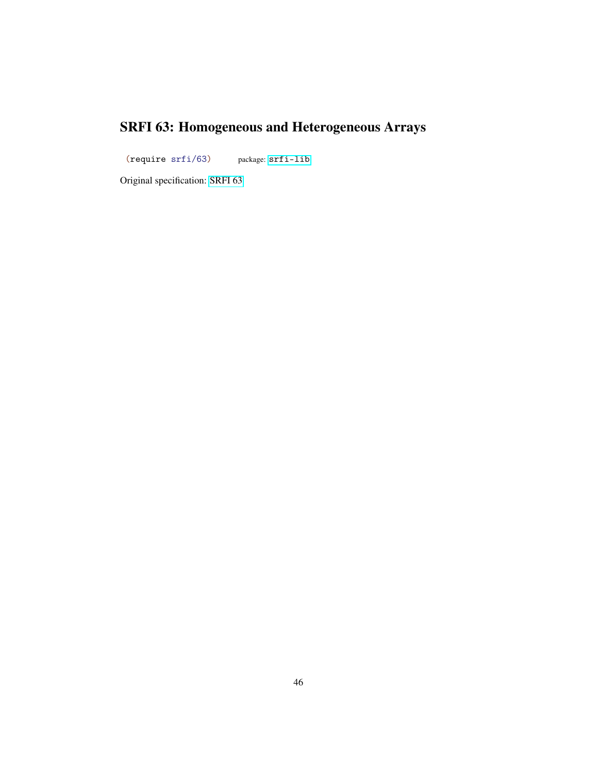## SRFI 63: Homogeneous and Heterogeneous Arrays

<span id="page-45-0"></span>(require srfi/63) package: [srfi-lib](https://pkgs.racket-lang.org/package/srfi-lib)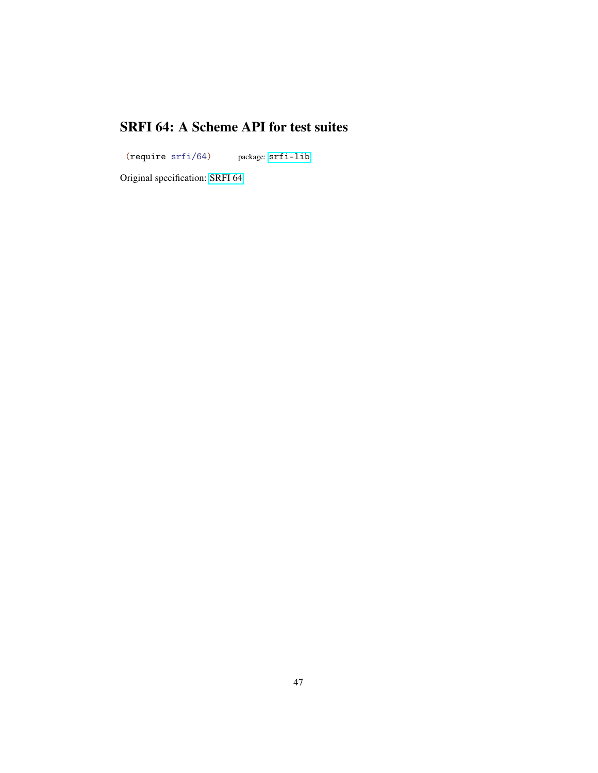#### SRFI 64: A Scheme API for test suites

<span id="page-46-0"></span>(require srfi/64) package: [srfi-lib](https://pkgs.racket-lang.org/package/srfi-lib)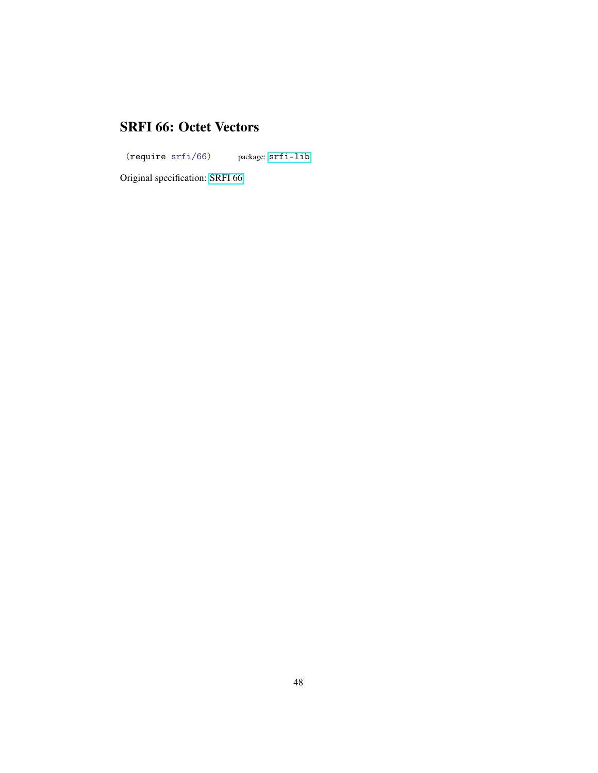#### SRFI 66: Octet Vectors

<span id="page-47-0"></span>(require srfi/66) package: [srfi-lib](https://pkgs.racket-lang.org/package/srfi-lib)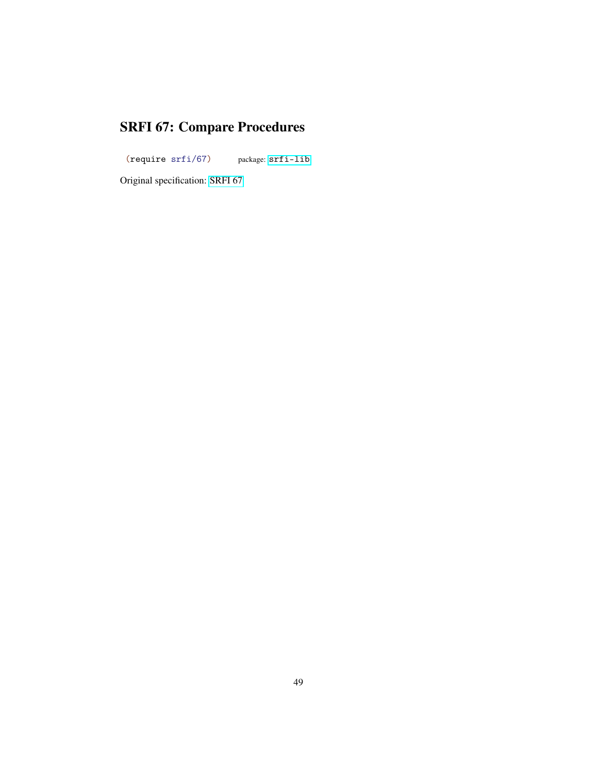# SRFI 67: Compare Procedures

<span id="page-48-0"></span>(require srfi/67) package: [srfi-lib](https://pkgs.racket-lang.org/package/srfi-lib)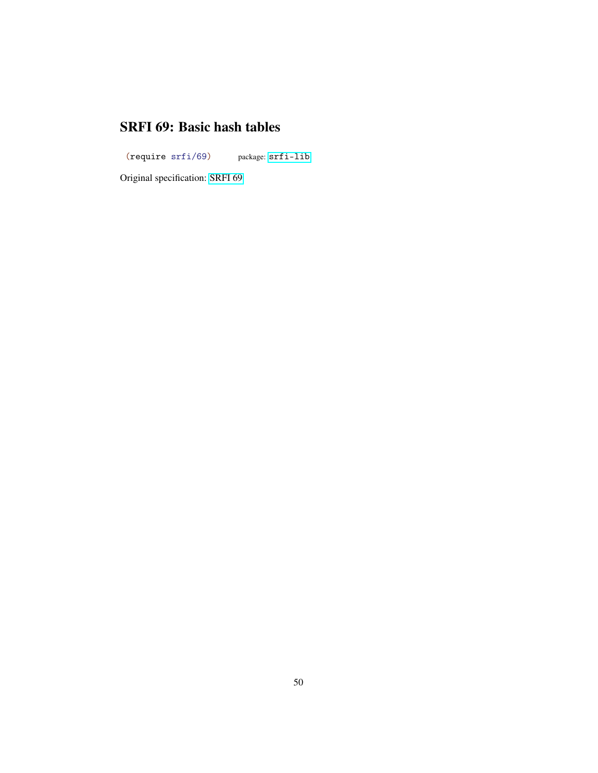#### SRFI 69: Basic hash tables

<span id="page-49-0"></span>(require srfi/69) package: [srfi-lib](https://pkgs.racket-lang.org/package/srfi-lib)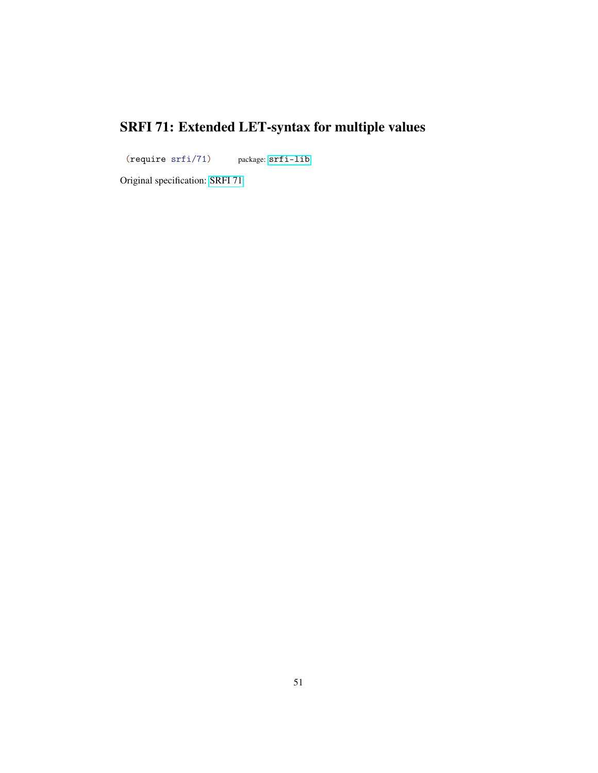# SRFI 71: Extended LET-syntax for multiple values

<span id="page-50-0"></span>(require srfi/71) package: [srfi-lib](https://pkgs.racket-lang.org/package/srfi-lib)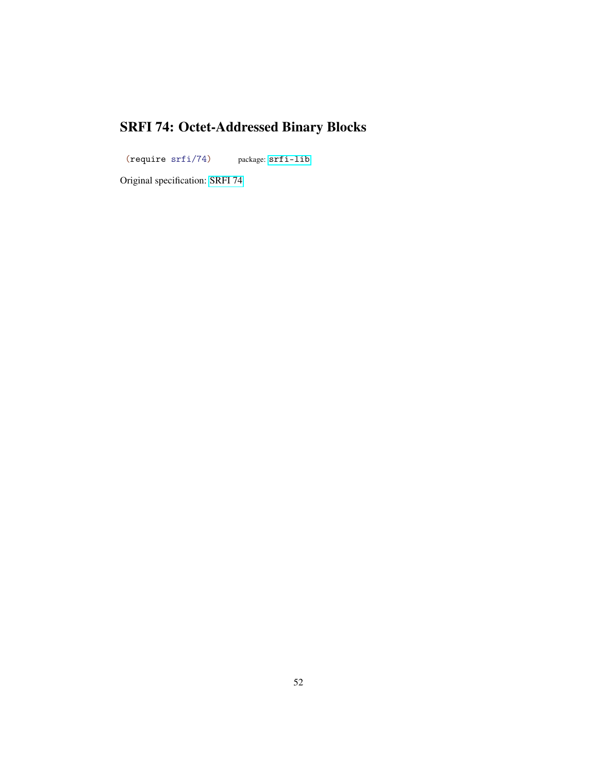# SRFI 74: Octet-Addressed Binary Blocks

<span id="page-51-0"></span>(require srfi/74) package: [srfi-lib](https://pkgs.racket-lang.org/package/srfi-lib)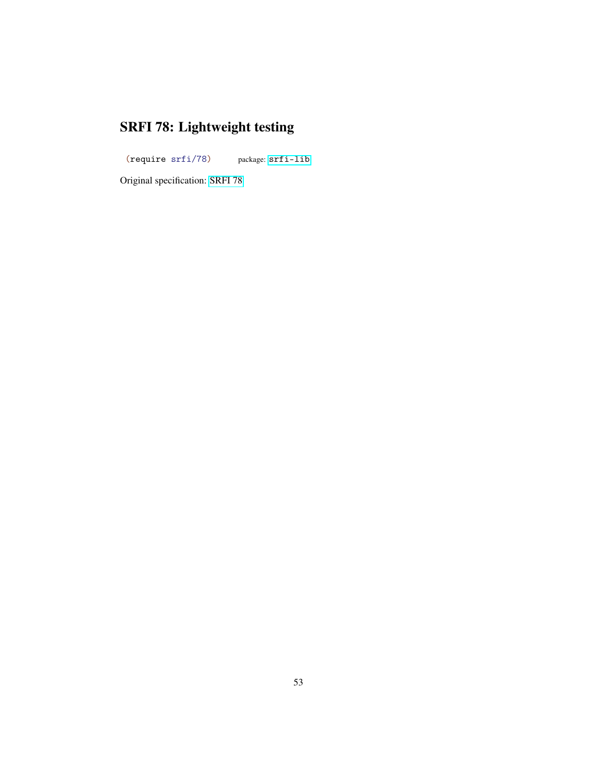# SRFI 78: Lightweight testing

<span id="page-52-0"></span>(require srfi/78) package: [srfi-lib](https://pkgs.racket-lang.org/package/srfi-lib)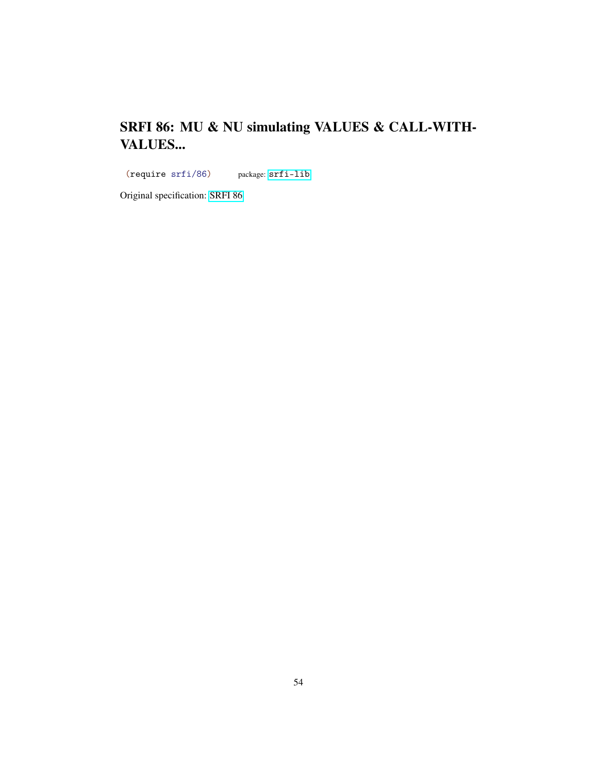## SRFI 86: MU & NU simulating VALUES & CALL-WITH-VALUES...

<span id="page-53-0"></span>(require srfi/86) package: [srfi-lib](https://pkgs.racket-lang.org/package/srfi-lib)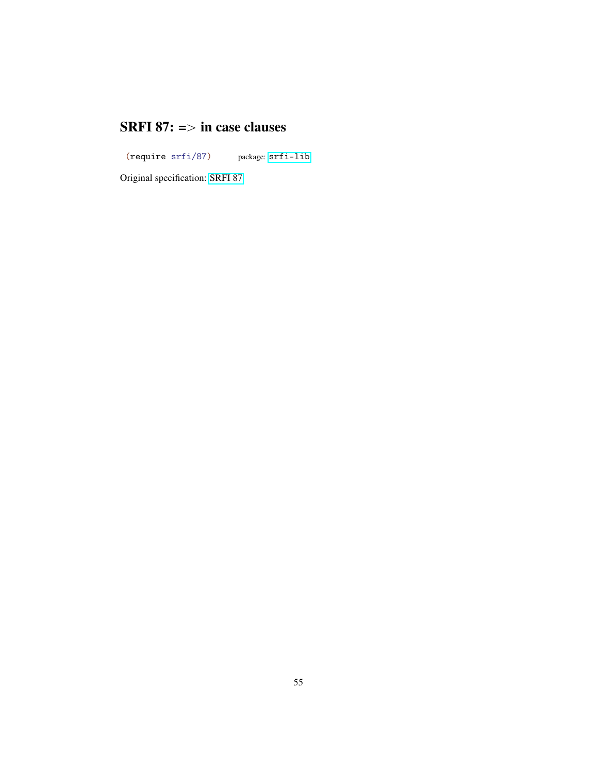#### SRFI 87:  $\Rightarrow$  in case clauses

<span id="page-54-0"></span>(require srfi/87) package: [srfi-lib](https://pkgs.racket-lang.org/package/srfi-lib)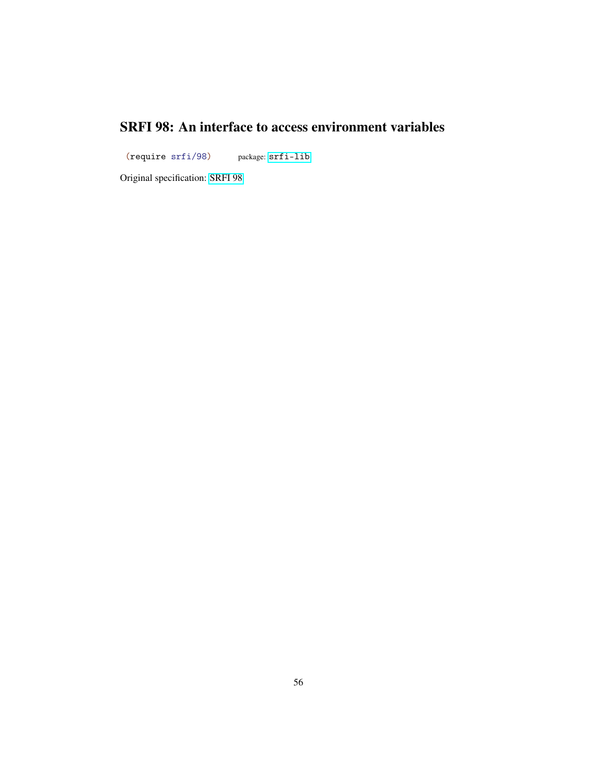## SRFI 98: An interface to access environment variables

<span id="page-55-0"></span>(require srfi/98) package: [srfi-lib](https://pkgs.racket-lang.org/package/srfi-lib)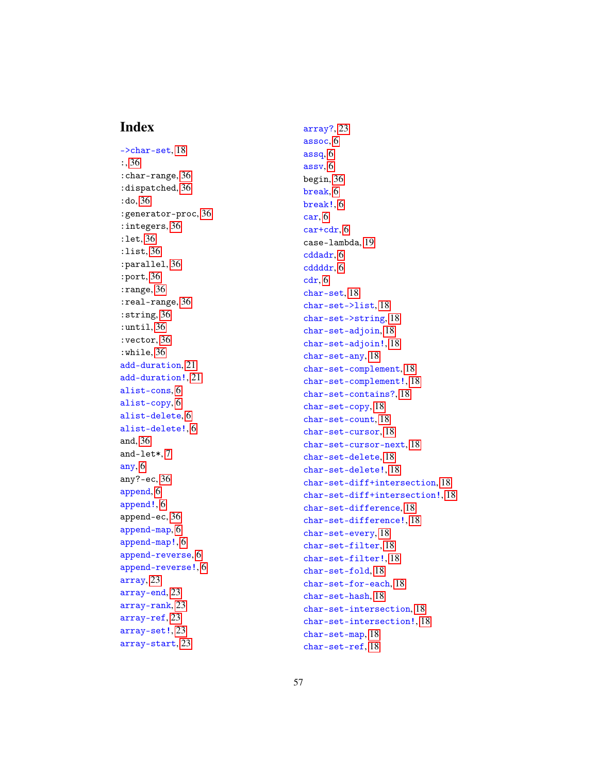#### Index

<span id="page-56-0"></span>->char-set, [18](#page-17-0) :, [36](#page-35-0) :char-range, [36](#page-35-0) :dispatched, [36](#page-35-0) :do, [36](#page-35-0) :generator-proc, [36](#page-35-0) :integers, [36](#page-35-0) :let, [36](#page-35-0) :list, [36](#page-35-0) :parallel, [36](#page-35-0) :port, [36](#page-35-0) :range, [36](#page-35-0) :real-range, [36](#page-35-0) :string, [36](#page-35-0) :until, [36](#page-35-0) :vector, [36](#page-35-0) :while, [36](#page-35-0) add-duration, [21](#page-20-0) add-duration!, [21](#page-20-0) alist-cons, [6](#page-5-0) alist-copy, [6](#page-5-0) alist-delete, [6](#page-5-0) alist-delete!, [6](#page-5-0) and, [36](#page-35-0) and-let\*, [7](#page-6-0) any, [6](#page-5-0) any?-ec, [36](#page-35-0) append, [6](#page-5-0) append!, [6](#page-5-0) append-ec, [36](#page-35-0) append-map, [6](#page-5-0) append-map!, [6](#page-5-0) append-reverse, [6](#page-5-0) append-reverse!, [6](#page-5-0) array, [23](#page-22-0) array-end, [23](#page-22-0) array-rank, [23](#page-22-0) array-ref, [23](#page-22-0) array-set!, [23](#page-22-0) array-start, [23](#page-22-0)

array?, [23](#page-22-0) assoc, [6](#page-5-0) assq, [6](#page-5-0) assv, [6](#page-5-0) begin, [36](#page-35-0) break, [6](#page-5-0) break!, [6](#page-5-0) car, [6](#page-5-0) car+cdr, [6](#page-5-0) case-lambda, [19](#page-18-0) cddadr, [6](#page-5-0) cddddr, [6](#page-5-0) cdr, [6](#page-5-0) char-set, [18](#page-17-0) char-set->list, [18](#page-17-0) char-set->string, [18](#page-17-0) char-set-adjoin, [18](#page-17-0) char-set-adjoin!, [18](#page-17-0) char-set-any, [18](#page-17-0) char-set-complement, [18](#page-17-0) char-set-complement!, [18](#page-17-0) char-set-contains?, [18](#page-17-0) char-set-copy, [18](#page-17-0) char-set-count, [18](#page-17-0) char-set-cursor, [18](#page-17-0) char-set-cursor-next, [18](#page-17-0) char-set-delete, [18](#page-17-0) char-set-delete!, [18](#page-17-0) char-set-diff+intersection, [18](#page-17-0) char-set-diff+intersection!, [18](#page-17-0) char-set-difference, [18](#page-17-0) char-set-difference!, [18](#page-17-0) char-set-every, [18](#page-17-0) char-set-filter, [18](#page-17-0) char-set-filter!, [18](#page-17-0) char-set-fold, [18](#page-17-0) char-set-for-each, [18](#page-17-0) char-set-hash, [18](#page-17-0) char-set-intersection, [18](#page-17-0) char-set-intersection!, [18](#page-17-0) char-set-map, [18](#page-17-0) char-set-ref, [18](#page-17-0)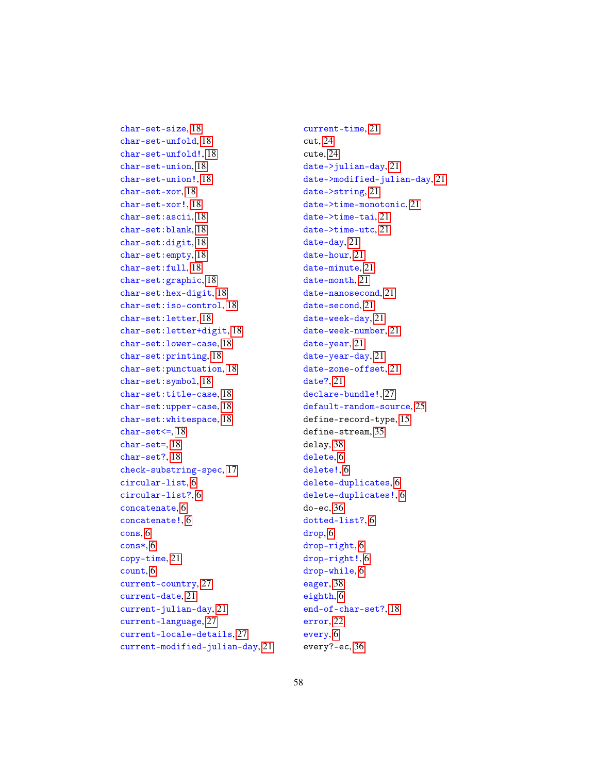char-set-unfold, [18](#page-17-0) char-set-unfold!, [18](#page-17-0) char-set-union, [18](#page-17-0) char-set-union!, [18](#page-17-0) char-set-xor, [18](#page-17-0) char-set-xor!, [18](#page-17-0) char-set:ascii, [18](#page-17-0) char-set:blank, [18](#page-17-0) char-set:digit, [18](#page-17-0) char-set:empty, [18](#page-17-0) char-set:full, [18](#page-17-0) char-set:graphic, [18](#page-17-0) char-set:hex-digit, [18](#page-17-0) char-set:iso-control, [18](#page-17-0) char-set:letter, [18](#page-17-0) char-set:letter+digit, [18](#page-17-0) char-set:lower-case, [18](#page-17-0) char-set:printing, [18](#page-17-0) char-set:punctuation, [18](#page-17-0) char-set:symbol, [18](#page-17-0) char-set:title-case, [18](#page-17-0) char-set:upper-case, [18](#page-17-0) char-set:whitespace, [18](#page-17-0)  $char-set<=, 18$  $char-set<=, 18$ char-set=, [18](#page-17-0) char-set?, [18](#page-17-0) check-substring-spec, [17](#page-16-0) circular-list, [6](#page-5-0) circular-list?, [6](#page-5-0) concatenate, [6](#page-5-0) concatenate!, [6](#page-5-0) cons, [6](#page-5-0) cons\*, [6](#page-5-0) copy-time, [21](#page-20-0) count, [6](#page-5-0) current-country, [27](#page-26-0) current-date, [21](#page-20-0) current-julian-day, [21](#page-20-0) current-language, [27](#page-26-0) current-locale-details, [27](#page-26-0) current-modified-julian-day, [21](#page-20-0)

char-set-size, [18](#page-17-0)

current-time, [21](#page-20-0) cut, [24](#page-23-0) cute, [24](#page-23-0) date->julian-day, [21](#page-20-0) date->modified-julian-day, [21](#page-20-0) date->string, [21](#page-20-0) date->time-monotonic, [21](#page-20-0) date->time-tai, [21](#page-20-0) date->time-utc, [21](#page-20-0) date-day, [21](#page-20-0) date-hour, [21](#page-20-0) date-minute, [21](#page-20-0) date-month, [21](#page-20-0) date-nanosecond, [21](#page-20-0) date-second, [21](#page-20-0) date-week-day, [21](#page-20-0) date-week-number, [21](#page-20-0) date-year, [21](#page-20-0) date-year-day, [21](#page-20-0) date-zone-offset, [21](#page-20-0) date?, [21](#page-20-0) declare-bundle!, [27](#page-26-0) default-random-source, [25](#page-24-0) define-record-type, [15](#page-14-0) define-stream, [35](#page-34-0) delay, [38](#page-37-0) delete, [6](#page-5-0) delete!, [6](#page-5-0) delete-duplicates, [6](#page-5-0) delete-duplicates!, [6](#page-5-0) do-ec, [36](#page-35-0) dotted-list?, [6](#page-5-0) drop, [6](#page-5-0) drop-right, [6](#page-5-0) drop-right!, [6](#page-5-0) drop-while, [6](#page-5-0) eager, [38](#page-37-0) eighth, [6](#page-5-0) end-of-char-set?, [18](#page-17-0) error, [22](#page-21-0) every, [6](#page-5-0) every?-ec, [36](#page-35-0)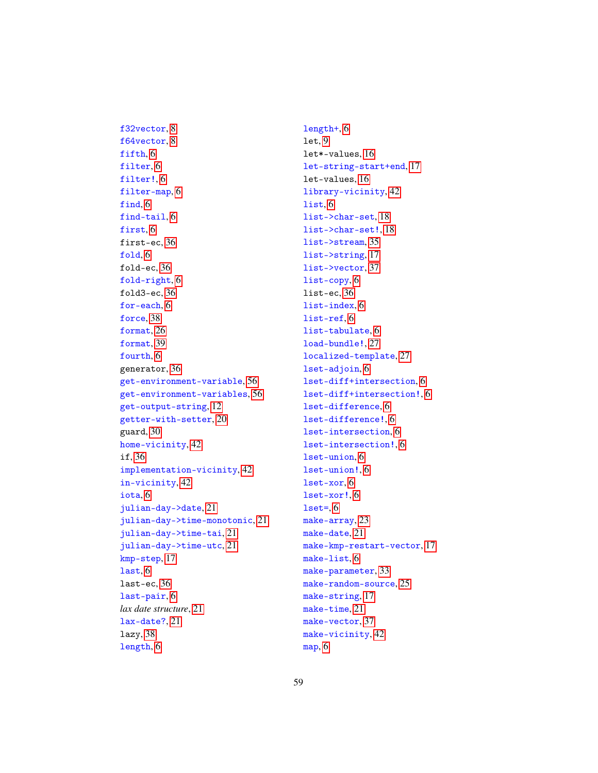f64vector, [8](#page-7-0) fifth, [6](#page-5-0) filter, [6](#page-5-0) filter!, [6](#page-5-0) filter-map, [6](#page-5-0) find, [6](#page-5-0) find-tail, [6](#page-5-0) first, [6](#page-5-0) first-ec, [36](#page-35-0) fold, [6](#page-5-0) fold-ec, [36](#page-35-0) fold-right, [6](#page-5-0) fold3-ec, [36](#page-35-0) for-each, [6](#page-5-0) force, [38](#page-37-0) format, [26](#page-25-0) format, [39](#page-38-0) fourth, [6](#page-5-0) generator, [36](#page-35-0) get-environment-variable, [56](#page-55-0) get-environment-variables, [56](#page-55-0) get-output-string, [12](#page-11-0) getter-with-setter, [20](#page-19-0) guard, [30](#page-29-0) home-vicinity, [42](#page-41-0) if, [36](#page-35-0) implementation-vicinity, [42](#page-41-0) in-vicinity, [42](#page-41-0) iota, [6](#page-5-0) julian-day->date, [21](#page-20-0) julian-day->time-monotonic, [21](#page-20-0) julian-day->time-tai, [21](#page-20-0) julian-day->time-utc, [21](#page-20-0) kmp-step, [17](#page-16-0) last, [6](#page-5-0) last-ec, [36](#page-35-0) last-pair, [6](#page-5-0) *lax date structure*, [21](#page-20-0) lax-date?, [21](#page-20-0) lazy, [38](#page-37-0) length, [6](#page-5-0)

f32vector, [8](#page-7-0)

length+, [6](#page-5-0) let, [9](#page-8-0) let\*-values, [16](#page-15-0) let-string-start+end, [17](#page-16-0) let-values, [16](#page-15-0) library-vicinity, [42](#page-41-0) list, [6](#page-5-0) list->char-set, [18](#page-17-0) list->char-set!, [18](#page-17-0) list->stream, [35](#page-34-0) list->string, [17](#page-16-0) list->vector, [37](#page-36-0) list-copy, [6](#page-5-0) list-ec, [36](#page-35-0) list-index, [6](#page-5-0) list-ref, [6](#page-5-0) list-tabulate, [6](#page-5-0) load-bundle!, [27](#page-26-0) localized-template, [27](#page-26-0) lset-adjoin, [6](#page-5-0) lset-diff+intersection, [6](#page-5-0) lset-diff+intersection!, [6](#page-5-0) lset-difference, [6](#page-5-0) lset-difference!, [6](#page-5-0) lset-intersection, [6](#page-5-0) lset-intersection!, [6](#page-5-0) lset-union, [6](#page-5-0) lset-union!, [6](#page-5-0) lset-xor, [6](#page-5-0) lset-xor!, [6](#page-5-0)  $lset=$ ,  $6$ make-array, [23](#page-22-0) make-date, [21](#page-20-0) make-kmp-restart-vector, [17](#page-16-0) make-list, [6](#page-5-0) make-parameter, [33](#page-32-0) make-random-source, [25](#page-24-0) make-string, [17](#page-16-0) make-time, [21](#page-20-0) make-vector, [37](#page-36-0) make-vicinity, [42](#page-41-0) map, [6](#page-5-0)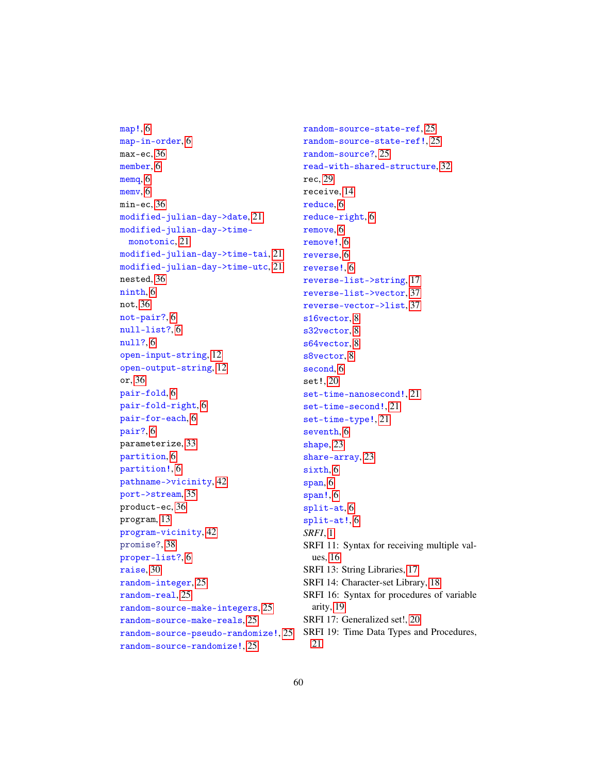```
map!, 6
map-in-order, 6
max-ec, 36
member, 6
memq, 6
memv, 6
min-ec, 36
modified-julian-day->date, 21
modified-julian-day->time-
 monotonic, 21
modified-julian-day->time-tai, 21
modified-julian-day->time-utc, 21
nested, 36
ninth, 6
not, 36
not-pair?, 6
null-list?, 6
null?, 6
open-input-string, 12
open-output-string, 12
or, 36
pair-fold, 6
pair-fold-right, 6
pair-for-each, 6
pair?, 6
parameterize, 33
partition, 6
partition!, 6
pathname->vicinity, 42
port->stream, 35
product-ec, 36
program, 13
program-vicinity, 42
promise?, 38
proper-list?, 6
raise, 30
random-integer, 25
random-real, 25
random-source-make-integers, 25
random-source-make-reals, 25
random-source-pseudo-randomize!, 25
random-source-randomize!, 25
```
random-source-state-ref, [25](#page-24-0) random-source-state-ref!, [25](#page-24-0) random-source?, [25](#page-24-0) read-with-shared-structure, [32](#page-31-0) rec, [29](#page-28-0) receive, [14](#page-13-0) reduce, [6](#page-5-0) reduce-right, [6](#page-5-0) remove, [6](#page-5-0) remove!, [6](#page-5-0) reverse, [6](#page-5-0) reverse!, [6](#page-5-0) reverse-list->string, [17](#page-16-0) reverse-list->vector, [37](#page-36-0) reverse-vector->list, [37](#page-36-0) s16vector, [8](#page-7-0) s32vector, [8](#page-7-0) s64vector, [8](#page-7-0) s8vector, [8](#page-7-0) second, [6](#page-5-0) set!, [20](#page-19-0) set-time-nanosecond!, [21](#page-20-0) set-time-second!, [21](#page-20-0) set-time-type!, [21](#page-20-0) seventh, [6](#page-5-0) shape, [23](#page-22-0) share-array, [23](#page-22-0) sixth, [6](#page-5-0) span, [6](#page-5-0) span!, [6](#page-5-0) split-at, [6](#page-5-0) split-at!, [6](#page-5-0) *SRFI*, [1](#page-0-0) SRFI 11: Syntax for receiving multiple values, [16](#page-15-0) SRFI 13: String Libraries, [17](#page-16-0) SRFI 14: Character-set Library, [18](#page-17-0) SRFI 16: Syntax for procedures of variable arity, [19](#page-18-0) SRFI 17: Generalized set!, [20](#page-19-0) SRFI 19: Time Data Types and Procedures, [21](#page-20-0)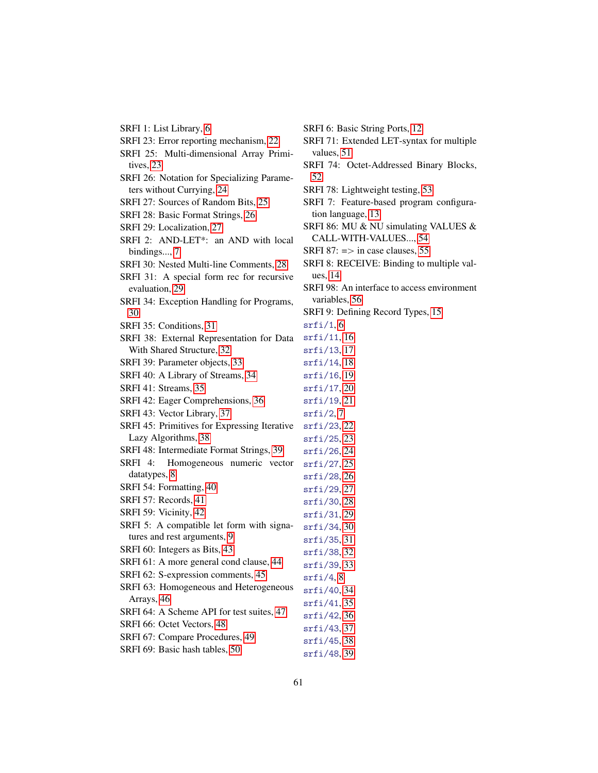| SRFI 6: Basi  |
|---------------|
| SRFI 71: Ext  |
| values, 51    |
| SRFI 74: O    |
| 52            |
| SRFI 78: Lig  |
| SRFI 7: Fea   |
| tion langua   |
| SRFI 86: MU   |
| CALL-WI       |
| SRFI 87: $=$  |
| SRFI 8: REC   |
| ues, 14       |
| SRFI 98: An   |
| variables, 5  |
| SRFI 9: Defii |
| srfi/1, 6     |
| srfi/11, 16   |
| srfi/13, 17   |
| srfi/14, 18   |
| srfi/16, 19   |
| srfi/17, 20   |
| srfi/19, 21   |
| srfi/2,7      |
| srfi/23, 22   |
| srfi/25, 23   |
| srfi/26, 24   |
| srfi/27, 25   |
| srfi/28, 26   |
| srfi/29, 27   |
| srfi/30, 28   |
| srfi/31, 29   |
| srfi/34, 30   |
| srfi/35, 31   |
| srfi/38, 32   |
| srfi/39, 33   |
| srfi/4, 8     |
| srfi/40, 34   |
| srfi/41, 35   |
| srfi/42, 36   |
| srfi/43, 37   |
| srfi/45, 38   |
| srfi/48, 39   |
|               |

- SRFI 6: Basic String Ports, [12](#page-11-0)
- 71: Extended LET-syntax for multiple  $ues, 51$  $ues, 51$
- 74: Octet-Addressed Binary Blocks,
- 78: Lightweight testing, [53](#page-52-0)
- 7: Feature-based program configura-language, [13](#page-12-0)
- 86: MU & NU simulating VALUES & LL-WITH-VALUES..., [54](#page-53-0)
- $87: \Rightarrow$  in case clauses, [55](#page-54-0)
- 8: RECEIVE: Binding to multiple val-14
- 98: An interface to access environment ables, [56](#page-55-0)
- 9: Defining Record Types, [15](#page-14-0)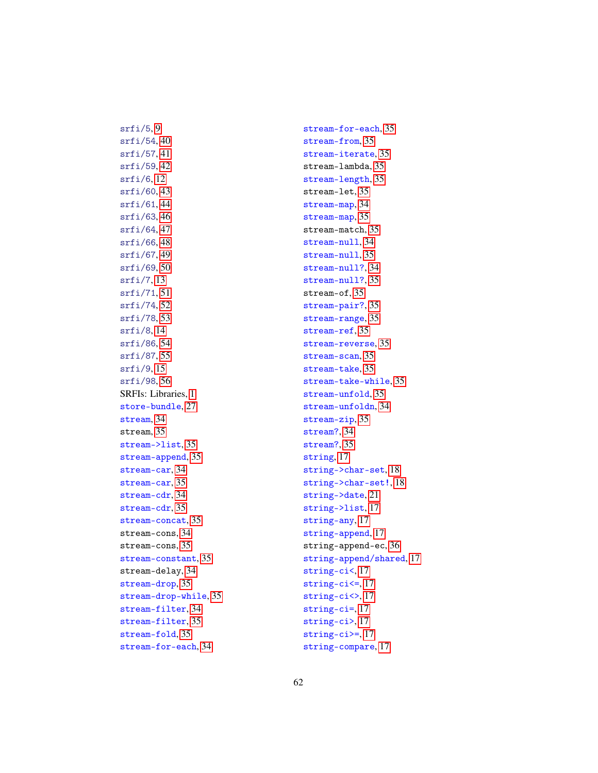srfi/54, [40](#page-39-0) srfi/57, [41](#page-40-0) srfi/59, [42](#page-41-0) srfi/6, [12](#page-11-0) srfi/60, [43](#page-42-0) srfi/61, [44](#page-43-0) srfi/63, [46](#page-45-0) srfi/64, [47](#page-46-0) srfi/66, [48](#page-47-0) srfi/67, [49](#page-48-0) srfi/69, [50](#page-49-0) srfi/7, [13](#page-12-0) srfi/71, [51](#page-50-0) srfi/74, [52](#page-51-0) srfi/78, [53](#page-52-0) srfi/8, [14](#page-13-0) srfi/86, [54](#page-53-0) srfi/87, [55](#page-54-0) srfi/9, [15](#page-14-0) srfi/98, [56](#page-55-0) SRFIs: Libraries, [1](#page-0-0) store-bundle, [27](#page-26-0) stream, [34](#page-33-0) stream, [35](#page-34-0) stream->list, [35](#page-34-0) stream-append, [35](#page-34-0) stream-car, [34](#page-33-0) stream-car, [35](#page-34-0) stream-cdr, [34](#page-33-0) stream-cdr, [35](#page-34-0) stream-concat, [35](#page-34-0) stream-cons, [34](#page-33-0) stream-cons, [35](#page-34-0) stream-constant, [35](#page-34-0) stream-delay, [34](#page-33-0) stream-drop, [35](#page-34-0) stream-drop-while, [35](#page-34-0) stream-filter, [34](#page-33-0) stream-filter, [35](#page-34-0) stream-fold, [35](#page-34-0) stream-for-each, [34](#page-33-0)

 $srfi/5,9$ 

stream-for-each, [35](#page-34-0) stream-from, [35](#page-34-0) stream-iterate, [35](#page-34-0) stream-lambda, [35](#page-34-0) stream-length, [35](#page-34-0) stream-let, [35](#page-34-0) stream-map, [34](#page-33-0) stream-map, [35](#page-34-0) stream-match, [35](#page-34-0) stream-null, [34](#page-33-0) stream-null, [35](#page-34-0) stream-null?, [34](#page-33-0) stream-null?, [35](#page-34-0) stream-of, [35](#page-34-0) stream-pair?, [35](#page-34-0) stream-range, [35](#page-34-0) stream-ref, [35](#page-34-0) stream-reverse, [35](#page-34-0) stream-scan, [35](#page-34-0) stream-take, [35](#page-34-0) stream-take-while, [35](#page-34-0) stream-unfold, [35](#page-34-0) stream-unfoldn, [34](#page-33-0) stream-zip, [35](#page-34-0) stream?, [34](#page-33-0) stream?, [35](#page-34-0) string, [17](#page-16-0) string->char-set, [18](#page-17-0) string->char-set!, [18](#page-17-0) string->date, [21](#page-20-0) string->list, [17](#page-16-0) string-any, [17](#page-16-0) string-append, [17](#page-16-0) string-append-ec, [36](#page-35-0) string-append/shared, [17](#page-16-0) string-ci<, [17](#page-16-0) string-ci<=, [17](#page-16-0) string-ci<>, [17](#page-16-0) string-ci=, [17](#page-16-0) string-ci>, [17](#page-16-0) string-ci>=, [17](#page-16-0) string-compare, [17](#page-16-0)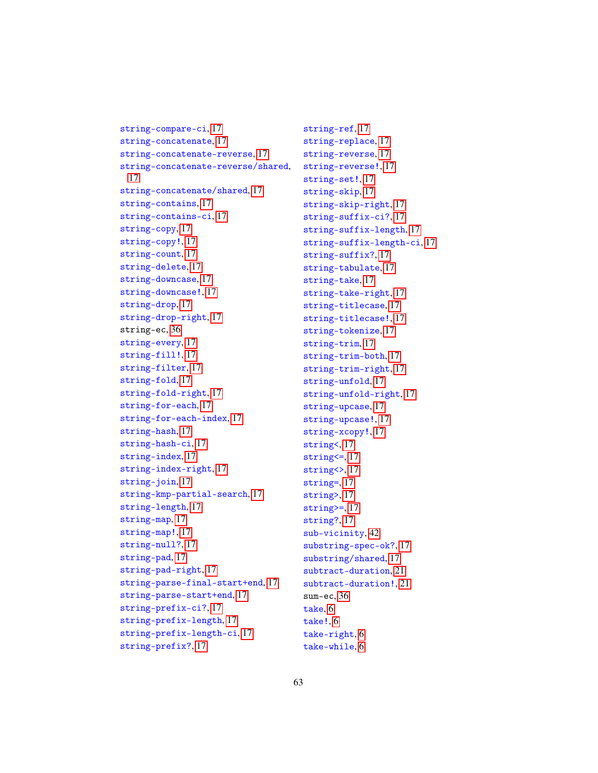```
string-compare-ci, 17
string-concatenate, 17
string-concatenate-reverse, 17
string-concatenate-reverse/shared,
 17
string-concatenate/shared, 17
string-contains, 17
string-contains-ci, 17
string-copy, 17
string-copy!, 17
string-count, 17
string-delete, 17
string-downcase, 17
string-downcase!, 17
string-drop, 17
string-drop-right, 17
string-ec, 36
string-every, 17
string-fill!, 17
string-filter, 17
string-fold, 17
string-fold-right, 17
string-for-each, 17
string-for-each-index, 17
string-hash, 17
string-hash-ci, 17
string-index, 17
string-index-right, 17
 17
string-kmp-partial-search, 17
string-length, 17
string-map, 17
string-map!, 17
string-null?, 17
string-pad, 17
string-pad-right, 17
string-parse-final-start+end, 17
string-parse-start+end, 17
string-prefix-ci?, 17
string-prefix-length, 17
string-prefix-length-ci, 17
string-prefix?, 17
```
string-ref, [17](#page-16-0) string-replace, [17](#page-16-0) string-reverse, [17](#page-16-0) string-reverse!, [17](#page-16-0) string-set!, [17](#page-16-0) string-skip, [17](#page-16-0) string-skip-right, [17](#page-16-0) string-suffix-ci?, [17](#page-16-0) string-suffix-length, [17](#page-16-0) string-suffix-length-ci, [17](#page-16-0) string-suffix?, [17](#page-16-0) string-tabulate, [17](#page-16-0) string-take, [17](#page-16-0) string-take-right, [17](#page-16-0) string-titlecase, [17](#page-16-0) string-titlecase!, [17](#page-16-0) string-tokenize, [17](#page-16-0) string-trim, [17](#page-16-0) string-trim-both, [17](#page-16-0) string-trim-right, [17](#page-16-0) string-unfold, [17](#page-16-0) string-unfold-right, [17](#page-16-0) string-upcase, [17](#page-16-0) string-upcase!, [17](#page-16-0) string-xcopy!, [17](#page-16-0) string<, [17](#page-16-0) string<=, [17](#page-16-0) string<>, [17](#page-16-0) string=, [17](#page-16-0) string>, [17](#page-16-0) string>=, [17](#page-16-0) string?, [17](#page-16-0) sub-vicinity, [42](#page-41-0) substring-spec-ok?, [17](#page-16-0) substring/shared, [17](#page-16-0) subtract-duration, [21](#page-20-0) subtract-duration!, [21](#page-20-0) sum-ec, [36](#page-35-0) take, [6](#page-5-0) take!, [6](#page-5-0) take-right, [6](#page-5-0) take-while, [6](#page-5-0)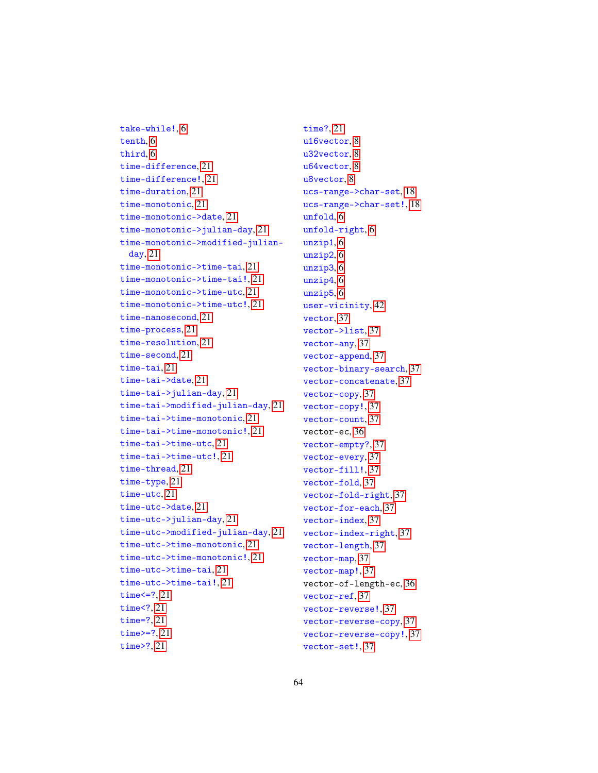```
take-while!, 6
tenth, 6
third, 6
time-difference, 21
time-difference!, 21
time-duration, 21
time-monotonic, 21
time-monotonic->date, 21
time-monotonic->julian-day, 21
time-monotonic->modified-julian-
 day, 21
time-monotonic->time-tai, 21
time-monotonic->time-tai!, 21
time-monotonic->time-utc, 21
time-monotonic->time-utc!, 21
time-nanosecond, 21
time-process, 21
time-resolution, 21
time-second, 21
time-tai, 21
time-tai->date, 21
time-tai->julian-day, 21
time-tai->modified-julian-day, 21
time-tai->time-monotonic, 21
time-tai->time-monotonic!, 21
time-tai->time-utc, 21
time-tai->time-utc!, 21
time-thread, 21
time-type, 21
time-utc, 21
time-utc->date, 21
time-utc->julian-day, 21
time-utc->modified-julian-day, 21
time-utc->time-monotonic, 21
time-utc->time-monotonic!, 21
time-utc->time-tai, 21
time-utc->time-tai!, 21
time<=?, 21
time<?, 21
time=?, 21
time>=?, 21
time>?, 21
```
time?, [21](#page-20-0) u16vector, [8](#page-7-0) u32vector, [8](#page-7-0) u64vector, [8](#page-7-0) u8vector, [8](#page-7-0) ucs-range->char-set, [18](#page-17-0) ucs-range->char-set!, [18](#page-17-0) unfold, [6](#page-5-0) unfold-right, [6](#page-5-0) unzip1, [6](#page-5-0) unzip2, [6](#page-5-0) unzip3, [6](#page-5-0) unzip4, [6](#page-5-0) unzip5, [6](#page-5-0) user-vicinity, [42](#page-41-0) vector, [37](#page-36-0) vector->list, [37](#page-36-0) vector-any, [37](#page-36-0) vector-append, [37](#page-36-0) vector-binary-search, [37](#page-36-0) vector-concatenate, [37](#page-36-0) vector-copy, [37](#page-36-0) vector-copy!, [37](#page-36-0) vector-count, [37](#page-36-0) vector-ec, [36](#page-35-0) vector-empty?, [37](#page-36-0) vector-every, [37](#page-36-0) vector-fill!, [37](#page-36-0) vector-fold, [37](#page-36-0) vector-fold-right, [37](#page-36-0) vector-for-each, [37](#page-36-0) vector-index, [37](#page-36-0) vector-index-right, [37](#page-36-0) vector-length, [37](#page-36-0) vector-map, [37](#page-36-0) vector-map!, [37](#page-36-0) vector-of-length-ec, [36](#page-35-0) vector-ref, [37](#page-36-0) vector-reverse!, [37](#page-36-0) vector-reverse-copy, [37](#page-36-0) vector-reverse-copy!, [37](#page-36-0) vector-set!, [37](#page-36-0)